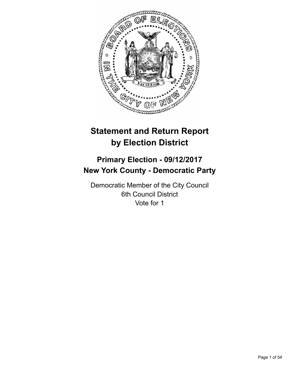

# **Statement and Return Report by Election District**

# **Primary Election - 09/12/2017 New York County - Democratic Party**

Democratic Member of the City Council 6th Council District Vote for 1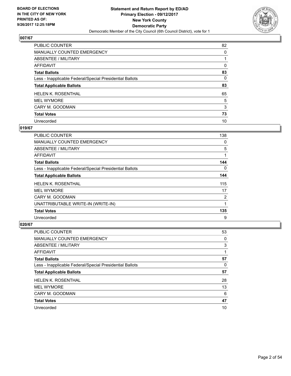

| PUBLIC COUNTER                                           | 82 |
|----------------------------------------------------------|----|
| MANUALLY COUNTED EMERGENCY                               | 0  |
| ABSENTEE / MILITARY                                      |    |
| <b>AFFIDAVIT</b>                                         | 0  |
| <b>Total Ballots</b>                                     | 83 |
| Less - Inapplicable Federal/Special Presidential Ballots | 0  |
| <b>Total Applicable Ballots</b>                          | 83 |
| <b>HELEN K. ROSENTHAL</b>                                | 65 |
| <b>MEL WYMORE</b>                                        | 5  |
| CARY M. GOODMAN                                          | 3  |
| <b>Total Votes</b>                                       | 73 |
| Unrecorded                                               | 10 |

## **019/67**

| <b>PUBLIC COUNTER</b>                                    | 138 |
|----------------------------------------------------------|-----|
| <b>MANUALLY COUNTED EMERGENCY</b>                        | 0   |
| ABSENTEE / MILITARY                                      | 5   |
| AFFIDAVIT                                                | 1   |
| <b>Total Ballots</b>                                     | 144 |
| Less - Inapplicable Federal/Special Presidential Ballots | 0   |
| <b>Total Applicable Ballots</b>                          | 144 |
| <b>HELEN K. ROSENTHAL</b>                                | 115 |
| <b>MEL WYMORE</b>                                        | 17  |
| CARY M. GOODMAN                                          | 2   |
| UNATTRIBUTABLE WRITE-IN (WRITE-IN)                       | 1   |
| <b>Total Votes</b>                                       | 135 |
| Unrecorded                                               | 9   |

| <b>PUBLIC COUNTER</b>                                    | 53 |
|----------------------------------------------------------|----|
| <b>MANUALLY COUNTED EMERGENCY</b>                        | 0  |
| ABSENTEE / MILITARY                                      | 3  |
| AFFIDAVIT                                                |    |
| <b>Total Ballots</b>                                     | 57 |
| Less - Inapplicable Federal/Special Presidential Ballots | 0  |
|                                                          |    |
| <b>Total Applicable Ballots</b>                          | 57 |
| <b>HELEN K. ROSENTHAL</b>                                | 28 |
| <b>MEL WYMORE</b>                                        | 13 |
| CARY M. GOODMAN                                          | 6  |
| <b>Total Votes</b>                                       | 47 |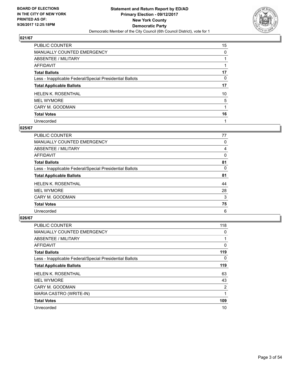

| <b>PUBLIC COUNTER</b>                                    | 15 |
|----------------------------------------------------------|----|
| <b>MANUALLY COUNTED EMERGENCY</b>                        | 0  |
| ABSENTEE / MILITARY                                      |    |
| <b>AFFIDAVIT</b>                                         |    |
| <b>Total Ballots</b>                                     | 17 |
| Less - Inapplicable Federal/Special Presidential Ballots | 0  |
| <b>Total Applicable Ballots</b>                          | 17 |
| <b>HELEN K. ROSENTHAL</b>                                | 10 |
| <b>MEL WYMORE</b>                                        | 5  |
| CARY M. GOODMAN                                          |    |
| <b>Total Votes</b>                                       | 16 |
| Unrecorded                                               |    |

#### **025/67**

| PUBLIC COUNTER                                           | 77 |
|----------------------------------------------------------|----|
| <b>MANUALLY COUNTED EMERGENCY</b>                        | 0  |
| ABSENTEE / MILITARY                                      | 4  |
| <b>AFFIDAVIT</b>                                         | 0  |
| <b>Total Ballots</b>                                     | 81 |
| Less - Inapplicable Federal/Special Presidential Ballots | 0  |
| <b>Total Applicable Ballots</b>                          | 81 |
| <b>HELEN K. ROSENTHAL</b>                                | 44 |
| <b>MEL WYMORE</b>                                        | 28 |
| CARY M. GOODMAN                                          | 3  |
| <b>Total Votes</b>                                       | 75 |
| Unrecorded                                               | 6  |

| <b>PUBLIC COUNTER</b>                                    | 118            |
|----------------------------------------------------------|----------------|
| MANUALLY COUNTED EMERGENCY                               | 0              |
| ABSENTEE / MILITARY                                      |                |
| AFFIDAVIT                                                | 0              |
| <b>Total Ballots</b>                                     | 119            |
| Less - Inapplicable Federal/Special Presidential Ballots | 0              |
| <b>Total Applicable Ballots</b>                          | 119            |
| <b>HELEN K. ROSENTHAL</b>                                | 63             |
| <b>MEL WYMORE</b>                                        | 43             |
| CARY M. GOODMAN                                          | $\overline{2}$ |
| MARIA CASTRO (WRITE-IN)                                  |                |
| <b>Total Votes</b>                                       | 109            |
| Unrecorded                                               | 10             |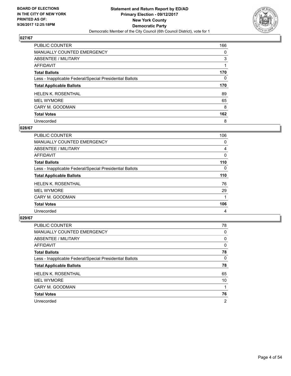

| <b>PUBLIC COUNTER</b>                                    | 166 |
|----------------------------------------------------------|-----|
| MANUALLY COUNTED EMERGENCY                               | 0   |
| ABSENTEE / MILITARY                                      | 3   |
| AFFIDAVIT                                                |     |
| <b>Total Ballots</b>                                     | 170 |
| Less - Inapplicable Federal/Special Presidential Ballots | 0   |
| <b>Total Applicable Ballots</b>                          | 170 |
| <b>HELEN K. ROSENTHAL</b>                                | 89  |
| <b>MEL WYMORE</b>                                        | 65  |
| CARY M. GOODMAN                                          | 8   |
| <b>Total Votes</b>                                       | 162 |
|                                                          |     |

#### **028/67**

| <b>PUBLIC COUNTER</b>                                    | 106      |
|----------------------------------------------------------|----------|
| <b>MANUALLY COUNTED EMERGENCY</b>                        | 0        |
| <b>ABSENTEE / MILITARY</b>                               | 4        |
| <b>AFFIDAVIT</b>                                         | 0        |
| <b>Total Ballots</b>                                     | 110      |
| Less - Inapplicable Federal/Special Presidential Ballots | $\Omega$ |
| <b>Total Applicable Ballots</b>                          | 110      |
| <b>HELEN K. ROSENTHAL</b>                                | 76       |
| <b>MEL WYMORE</b>                                        | 29       |
| CARY M. GOODMAN                                          | 1        |
| <b>Total Votes</b>                                       | 106      |
| Unrecorded                                               | 4        |

| <b>PUBLIC COUNTER</b>                                    | 78             |
|----------------------------------------------------------|----------------|
| <b>MANUALLY COUNTED EMERGENCY</b>                        | 0              |
| ABSENTEE / MILITARY                                      | 0              |
| AFFIDAVIT                                                | 0              |
| <b>Total Ballots</b>                                     | 78             |
| Less - Inapplicable Federal/Special Presidential Ballots | 0              |
| <b>Total Applicable Ballots</b>                          | 78             |
| <b>HELEN K. ROSENTHAL</b>                                | 65             |
| <b>MEL WYMORE</b>                                        | 10             |
| CARY M. GOODMAN                                          |                |
| <b>Total Votes</b>                                       | 76             |
| Unrecorded                                               | $\overline{2}$ |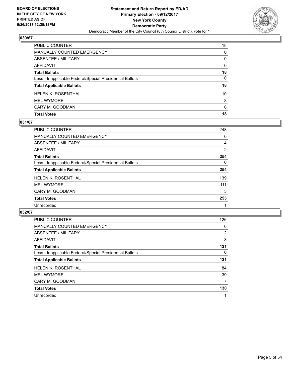

| PUBLIC COUNTER                                           | 18              |
|----------------------------------------------------------|-----------------|
| <b>MANUALLY COUNTED EMERGENCY</b>                        | $\Omega$        |
| ABSENTEE / MILITARY                                      | $\Omega$        |
| AFFIDAVIT                                                | $\Omega$        |
| <b>Total Ballots</b>                                     | 18              |
| Less - Inapplicable Federal/Special Presidential Ballots | 0               |
| <b>Total Applicable Ballots</b>                          | 18              |
| <b>HELEN K. ROSENTHAL</b>                                | 10 <sup>1</sup> |
| <b>MEL WYMORE</b>                                        | 8               |
| CARY M. GOODMAN                                          | $\Omega$        |
| <b>Total Votes</b>                                       | 18              |

# **031/67**

| <b>PUBLIC COUNTER</b>                                    | 248 |
|----------------------------------------------------------|-----|
| MANUALLY COUNTED EMERGENCY                               | 0   |
| ABSENTEE / MILITARY                                      | 4   |
| AFFIDAVIT                                                | 2   |
| <b>Total Ballots</b>                                     | 254 |
| Less - Inapplicable Federal/Special Presidential Ballots | 0   |
| <b>Total Applicable Ballots</b>                          | 254 |
| <b>HELEN K. ROSENTHAL</b>                                | 139 |
| <b>MEL WYMORE</b>                                        | 111 |
| CARY M. GOODMAN                                          | 3   |
| <b>Total Votes</b>                                       | 253 |
| Unrecorded                                               |     |
|                                                          |     |

| <b>PUBLIC COUNTER</b>                                    | 126 |
|----------------------------------------------------------|-----|
| <b>MANUALLY COUNTED EMERGENCY</b>                        | 0   |
| ABSENTEE / MILITARY                                      | 2   |
| AFFIDAVIT                                                | 3   |
| <b>Total Ballots</b>                                     | 131 |
| Less - Inapplicable Federal/Special Presidential Ballots | 0   |
| <b>Total Applicable Ballots</b>                          | 131 |
|                                                          |     |
| <b>HELEN K. ROSENTHAL</b>                                | 84  |
| <b>MEL WYMORE</b>                                        | 39  |
| CARY M. GOODMAN                                          | 7   |
| <b>Total Votes</b>                                       | 130 |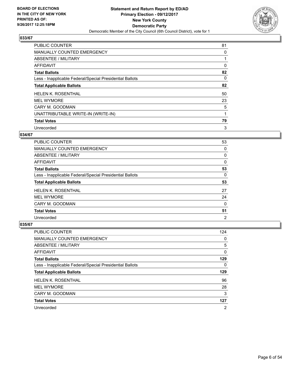

| <b>PUBLIC COUNTER</b>                                    | 81 |
|----------------------------------------------------------|----|
| MANUALLY COUNTED EMERGENCY                               | 0  |
| ABSENTEE / MILITARY                                      |    |
| AFFIDAVIT                                                | 0  |
| <b>Total Ballots</b>                                     | 82 |
| Less - Inapplicable Federal/Special Presidential Ballots | 0  |
| <b>Total Applicable Ballots</b>                          | 82 |
| <b>HELEN K. ROSENTHAL</b>                                | 50 |
| <b>MEL WYMORE</b>                                        | 23 |
| CARY M. GOODMAN                                          | 5  |
| UNATTRIBUTABLE WRITE-IN (WRITE-IN)                       | 1  |
| <b>Total Votes</b>                                       | 79 |
| Unrecorded                                               | 3  |

#### **034/67**

| <b>PUBLIC COUNTER</b>                                    | 53             |
|----------------------------------------------------------|----------------|
| <b>MANUALLY COUNTED EMERGENCY</b>                        | 0              |
| ABSENTEE / MILITARY                                      | 0              |
| AFFIDAVIT                                                | 0              |
| <b>Total Ballots</b>                                     | 53             |
| Less - Inapplicable Federal/Special Presidential Ballots | 0              |
| <b>Total Applicable Ballots</b>                          | 53             |
| <b>HELEN K. ROSENTHAL</b>                                | 27             |
| <b>MEL WYMORE</b>                                        | 24             |
| CARY M. GOODMAN                                          | 0              |
| <b>Total Votes</b>                                       | 51             |
| Unrecorded                                               | $\overline{2}$ |

| <b>PUBLIC COUNTER</b>                                    | 124 |
|----------------------------------------------------------|-----|
| <b>MANUALLY COUNTED EMERGENCY</b>                        | 0   |
| ABSENTEE / MILITARY                                      | 5   |
| AFFIDAVIT                                                | 0   |
| <b>Total Ballots</b>                                     | 129 |
| Less - Inapplicable Federal/Special Presidential Ballots | 0   |
| <b>Total Applicable Ballots</b>                          | 129 |
| <b>HELEN K. ROSENTHAL</b>                                | 96  |
| <b>MEL WYMORE</b>                                        | 28  |
| CARY M. GOODMAN                                          | 3   |
| <b>Total Votes</b>                                       | 127 |
| Unrecorded                                               | 2   |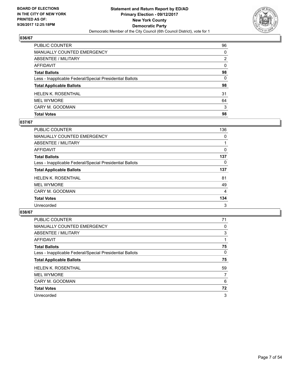

| <b>Total Votes</b>                                       | 98       |
|----------------------------------------------------------|----------|
| CARY M. GOODMAN                                          | 3        |
| <b>MEL WYMORE</b>                                        | 64       |
| <b>HELEN K. ROSENTHAL</b>                                | 31       |
| <b>Total Applicable Ballots</b>                          | 98       |
| Less - Inapplicable Federal/Special Presidential Ballots | 0        |
| <b>Total Ballots</b>                                     | 98       |
| AFFIDAVIT                                                | $\Omega$ |
| <b>ABSENTEE / MILITARY</b>                               | 2        |
| <b>MANUALLY COUNTED EMERGENCY</b>                        | $\Omega$ |
| PUBLIC COUNTER                                           | 96       |

# **037/67**

| PUBLIC COUNTER                                           | 136 |
|----------------------------------------------------------|-----|
| <b>MANUALLY COUNTED EMERGENCY</b>                        | 0   |
| ABSENTEE / MILITARY                                      |     |
| AFFIDAVIT                                                | 0   |
| <b>Total Ballots</b>                                     | 137 |
| Less - Inapplicable Federal/Special Presidential Ballots | 0   |
| <b>Total Applicable Ballots</b>                          | 137 |
| <b>HELEN K. ROSENTHAL</b>                                | 81  |
| <b>MEL WYMORE</b>                                        | 49  |
| CARY M. GOODMAN                                          | 4   |
| <b>Total Votes</b>                                       | 134 |
| Unrecorded                                               | 3   |
|                                                          |     |

| <b>PUBLIC COUNTER</b>                                    | 71 |
|----------------------------------------------------------|----|
| <b>MANUALLY COUNTED EMERGENCY</b>                        | 0  |
| ABSENTEE / MILITARY                                      | 3  |
| <b>AFFIDAVIT</b>                                         |    |
| <b>Total Ballots</b>                                     | 75 |
| Less - Inapplicable Federal/Special Presidential Ballots | 0  |
| <b>Total Applicable Ballots</b>                          | 75 |
| <b>HELEN K. ROSENTHAL</b>                                | 59 |
| <b>MEL WYMORE</b>                                        | 7  |
| CARY M. GOODMAN                                          | 6  |
| <b>Total Votes</b>                                       | 72 |
| Unrecorded                                               | 3  |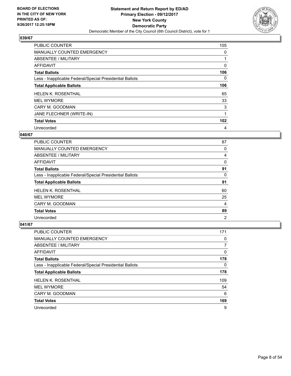

| <b>PUBLIC COUNTER</b>                                    | 105              |
|----------------------------------------------------------|------------------|
| MANUALLY COUNTED EMERGENCY                               | 0                |
| ABSENTEE / MILITARY                                      |                  |
| AFFIDAVIT                                                | 0                |
| <b>Total Ballots</b>                                     | 106              |
| Less - Inapplicable Federal/Special Presidential Ballots | 0                |
| <b>Total Applicable Ballots</b>                          | 106              |
| <b>HELEN K. ROSENTHAL</b>                                | 65               |
| <b>MEL WYMORE</b>                                        | 33               |
| CARY M. GOODMAN                                          | 3                |
| JANE FLECHNER (WRITE-IN)                                 |                  |
| <b>Total Votes</b>                                       | 102 <sub>2</sub> |
| Unrecorded                                               | 4                |

# **040/67**

| <b>PUBLIC COUNTER</b>                                    | 87 |
|----------------------------------------------------------|----|
| <b>MANUALLY COUNTED EMERGENCY</b>                        | 0  |
| ABSENTEE / MILITARY                                      | 4  |
| AFFIDAVIT                                                | 0  |
| <b>Total Ballots</b>                                     | 91 |
| Less - Inapplicable Federal/Special Presidential Ballots | 0  |
| <b>Total Applicable Ballots</b>                          | 91 |
|                                                          |    |
| <b>HELEN K. ROSENTHAL</b>                                | 60 |
| <b>MEL WYMORE</b>                                        | 25 |
| CARY M. GOODMAN                                          | 4  |
| <b>Total Votes</b>                                       | 89 |

| <b>PUBLIC COUNTER</b>                                    | 171 |
|----------------------------------------------------------|-----|
| <b>MANUALLY COUNTED EMERGENCY</b>                        | 0   |
| ABSENTEE / MILITARY                                      | 7   |
| AFFIDAVIT                                                | 0   |
| <b>Total Ballots</b>                                     | 178 |
| Less - Inapplicable Federal/Special Presidential Ballots | 0   |
| <b>Total Applicable Ballots</b>                          | 178 |
| <b>HELEN K. ROSENTHAL</b>                                | 109 |
| <b>MEL WYMORE</b>                                        | 54  |
| CARY M. GOODMAN                                          | 6   |
| <b>Total Votes</b>                                       | 169 |
| Unrecorded                                               | 9   |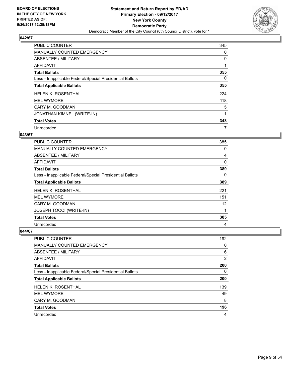

| <b>PUBLIC COUNTER</b>                                    | 345 |
|----------------------------------------------------------|-----|
| <b>MANUALLY COUNTED EMERGENCY</b>                        | 0   |
| ABSENTEE / MILITARY                                      | 9   |
| AFFIDAVIT                                                | 1   |
| <b>Total Ballots</b>                                     | 355 |
| Less - Inapplicable Federal/Special Presidential Ballots | 0   |
| <b>Total Applicable Ballots</b>                          | 355 |
| <b>HELEN K. ROSENTHAL</b>                                | 224 |
| <b>MEL WYMORE</b>                                        | 118 |
| CARY M. GOODMAN                                          | 5   |
| JONATHAN KIMNEL (WRITE-IN)                               |     |
| <b>Total Votes</b>                                       | 348 |
| Unrecorded                                               |     |

## **043/67**

| <b>PUBLIC COUNTER</b>                                    | 385 |
|----------------------------------------------------------|-----|
| <b>MANUALLY COUNTED EMERGENCY</b>                        | 0   |
| ABSENTEE / MILITARY                                      | 4   |
| <b>AFFIDAVIT</b>                                         | 0   |
| <b>Total Ballots</b>                                     | 389 |
| Less - Inapplicable Federal/Special Presidential Ballots | 0   |
| <b>Total Applicable Ballots</b>                          | 389 |
| <b>HELEN K. ROSENTHAL</b>                                | 221 |
| <b>MEL WYMORE</b>                                        | 151 |
| CARY M. GOODMAN                                          | 12  |
| <b>JOSEPH TOCCI (WRITE-IN)</b>                           | 1   |
| <b>Total Votes</b>                                       | 385 |
| Unrecorded                                               | 4   |

| <b>PUBLIC COUNTER</b>                                    | 192 |
|----------------------------------------------------------|-----|
| <b>MANUALLY COUNTED EMERGENCY</b>                        | 0   |
| ABSENTEE / MILITARY                                      | 6   |
| AFFIDAVIT                                                | 2   |
| <b>Total Ballots</b>                                     | 200 |
| Less - Inapplicable Federal/Special Presidential Ballots | 0   |
| <b>Total Applicable Ballots</b>                          | 200 |
|                                                          |     |
| <b>HELEN K. ROSENTHAL</b>                                | 139 |
| <b>MEL WYMORE</b>                                        | 49  |
| CARY M. GOODMAN                                          | 8   |
| <b>Total Votes</b>                                       | 196 |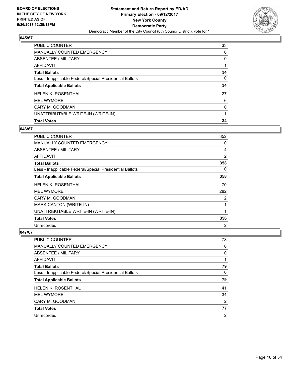

| <b>PUBLIC COUNTER</b>                                    | 33 |
|----------------------------------------------------------|----|
| <b>MANUALLY COUNTED EMERGENCY</b>                        | 0  |
| ABSENTEE / MILITARY                                      | 0  |
| AFFIDAVIT                                                |    |
| <b>Total Ballots</b>                                     | 34 |
| Less - Inapplicable Federal/Special Presidential Ballots | 0  |
| <b>Total Applicable Ballots</b>                          | 34 |
| <b>HELEN K. ROSENTHAL</b>                                | 27 |
| <b>MEL WYMORE</b>                                        | 6  |
| CARY M. GOODMAN                                          | 0  |
| UNATTRIBUTABLE WRITE-IN (WRITE-IN)                       | 1  |
| <b>Total Votes</b>                                       | 34 |

## **046/67**

| PUBLIC COUNTER                                           | 352 |
|----------------------------------------------------------|-----|
| <b>MANUALLY COUNTED EMERGENCY</b>                        | 0   |
| ABSENTEE / MILITARY                                      | 4   |
| AFFIDAVIT                                                | 2   |
| <b>Total Ballots</b>                                     | 358 |
| Less - Inapplicable Federal/Special Presidential Ballots | 0   |
| <b>Total Applicable Ballots</b>                          | 358 |
| <b>HELEN K. ROSENTHAL</b>                                | 70  |
| <b>MEL WYMORE</b>                                        | 282 |
| CARY M. GOODMAN                                          | 2   |
| <b>MARK CANTON (WRITE-IN)</b>                            | 1   |
| UNATTRIBUTABLE WRITE-IN (WRITE-IN)                       | 1   |
| <b>Total Votes</b>                                       | 356 |
| Unrecorded                                               | 2   |

| <b>PUBLIC COUNTER</b>                                    | 78             |
|----------------------------------------------------------|----------------|
| <b>MANUALLY COUNTED EMERGENCY</b>                        | 0              |
| ABSENTEE / MILITARY                                      | 0              |
| AFFIDAVIT                                                |                |
| <b>Total Ballots</b>                                     | 79             |
| Less - Inapplicable Federal/Special Presidential Ballots | 0              |
| <b>Total Applicable Ballots</b>                          | 79             |
| <b>HELEN K. ROSENTHAL</b>                                | 41             |
| <b>MEL WYMORE</b>                                        | 34             |
| CARY M. GOODMAN                                          | $\overline{2}$ |
| <b>Total Votes</b>                                       | 77             |
| Unrecorded                                               | $\overline{2}$ |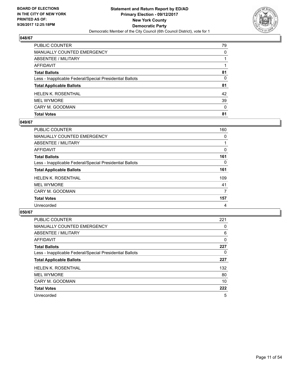

| PUBLIC COUNTER                                           | 79           |
|----------------------------------------------------------|--------------|
| <b>MANUALLY COUNTED EMERGENCY</b>                        | 0            |
| <b>ABSENTEE / MILITARY</b>                               |              |
| <b>AFFIDAVIT</b>                                         |              |
| <b>Total Ballots</b>                                     | 81           |
| Less - Inapplicable Federal/Special Presidential Ballots | $\Omega$     |
| <b>Total Applicable Ballots</b>                          | 81           |
| <b>HELEN K. ROSENTHAL</b>                                | 42           |
| <b>MEL WYMORE</b>                                        | 39           |
| CARY M. GOODMAN                                          | $\mathbf{0}$ |
| <b>Total Votes</b>                                       | 81           |

# **049/67**

| <b>PUBLIC COUNTER</b>                                    | 160 |
|----------------------------------------------------------|-----|
| MANUALLY COUNTED EMERGENCY                               | 0   |
| ABSENTEE / MILITARY                                      |     |
| AFFIDAVIT                                                | 0   |
| <b>Total Ballots</b>                                     | 161 |
| Less - Inapplicable Federal/Special Presidential Ballots | 0   |
| <b>Total Applicable Ballots</b>                          | 161 |
| <b>HELEN K. ROSENTHAL</b>                                | 109 |
| <b>MEL WYMORE</b>                                        | 41  |
| CARY M. GOODMAN                                          | 7   |
| <b>Total Votes</b>                                       | 157 |
| Unrecorded                                               | 4   |
|                                                          |     |

| <b>PUBLIC COUNTER</b>                                    | 221          |
|----------------------------------------------------------|--------------|
| <b>MANUALLY COUNTED EMERGENCY</b>                        | 0            |
| ABSENTEE / MILITARY                                      | 6            |
| <b>AFFIDAVIT</b>                                         | $\mathbf{0}$ |
| <b>Total Ballots</b>                                     | 227          |
| Less - Inapplicable Federal/Special Presidential Ballots | 0            |
| <b>Total Applicable Ballots</b>                          | 227          |
| <b>HELEN K. ROSENTHAL</b>                                | 132          |
| <b>MEL WYMORE</b>                                        | 80           |
| CARY M. GOODMAN                                          | 10           |
| <b>Total Votes</b>                                       | 222          |
| Unrecorded                                               | 5            |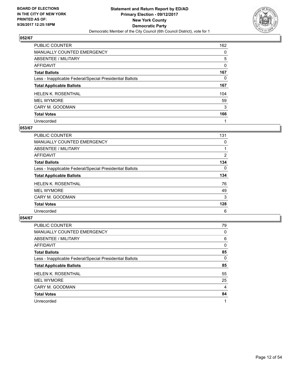

| PUBLIC COUNTER                                           | 162      |
|----------------------------------------------------------|----------|
| MANUALLY COUNTED EMERGENCY                               | 0        |
| ABSENTEE / MILITARY                                      | 5        |
| <b>AFFIDAVIT</b>                                         | $\Omega$ |
| <b>Total Ballots</b>                                     | 167      |
| Less - Inapplicable Federal/Special Presidential Ballots | 0        |
| <b>Total Applicable Ballots</b>                          | 167      |
| <b>HELEN K. ROSENTHAL</b>                                | 104      |
| <b>MEL WYMORE</b>                                        | 59       |
| CARY M. GOODMAN                                          | 3        |
| <b>Total Votes</b>                                       | 166      |
| Unrecorded                                               |          |

#### **053/67**

| <b>PUBLIC COUNTER</b>                                    | 131 |
|----------------------------------------------------------|-----|
| <b>MANUALLY COUNTED EMERGENCY</b>                        | 0   |
| <b>ABSENTEE / MILITARY</b>                               |     |
| <b>AFFIDAVIT</b>                                         | 2   |
| <b>Total Ballots</b>                                     | 134 |
| Less - Inapplicable Federal/Special Presidential Ballots | 0   |
| <b>Total Applicable Ballots</b>                          | 134 |
| <b>HELEN K. ROSENTHAL</b>                                | 76  |
| <b>MEL WYMORE</b>                                        | 49  |
| CARY M. GOODMAN                                          | 3   |
| <b>Total Votes</b>                                       | 128 |
| Unrecorded                                               | 6   |

| <b>PUBLIC COUNTER</b>                                    | 79 |
|----------------------------------------------------------|----|
| <b>MANUALLY COUNTED EMERGENCY</b>                        | 0  |
| ABSENTEE / MILITARY                                      | 6  |
| AFFIDAVIT                                                | 0  |
| <b>Total Ballots</b>                                     | 85 |
| Less - Inapplicable Federal/Special Presidential Ballots | 0  |
| <b>Total Applicable Ballots</b>                          | 85 |
| <b>HELEN K. ROSENTHAL</b>                                | 55 |
| <b>MEL WYMORE</b>                                        | 25 |
| CARY M. GOODMAN                                          | 4  |
| <b>Total Votes</b>                                       | 84 |
| Unrecorded                                               |    |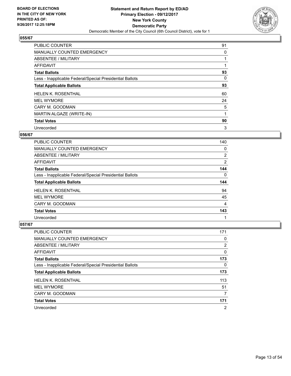

| <b>PUBLIC COUNTER</b>                                    | 91 |
|----------------------------------------------------------|----|
| MANUALLY COUNTED EMERGENCY                               | 0  |
| ABSENTEE / MILITARY                                      |    |
| <b>AFFIDAVIT</b>                                         |    |
| <b>Total Ballots</b>                                     | 93 |
| Less - Inapplicable Federal/Special Presidential Ballots | 0  |
| <b>Total Applicable Ballots</b>                          | 93 |
| <b>HELEN K. ROSENTHAL</b>                                | 60 |
| <b>MEL WYMORE</b>                                        | 24 |
| CARY M. GOODMAN                                          | 5  |
| MARTIN ALGAZE (WRITE-IN)                                 |    |
| <b>Total Votes</b>                                       | 90 |
| Unrecorded                                               | 3  |

## **056/67**

| <b>PUBLIC COUNTER</b>                                    | 140            |
|----------------------------------------------------------|----------------|
| <b>MANUALLY COUNTED EMERGENCY</b>                        | 0              |
| ABSENTEE / MILITARY                                      | $\overline{2}$ |
| <b>AFFIDAVIT</b>                                         | $\overline{2}$ |
| <b>Total Ballots</b>                                     | 144            |
| Less - Inapplicable Federal/Special Presidential Ballots | 0              |
| <b>Total Applicable Ballots</b>                          | 144            |
|                                                          |                |
| <b>HELEN K. ROSENTHAL</b>                                | 94             |
| <b>MEL WYMORE</b>                                        | 45             |
| CARY M. GOODMAN                                          | 4              |
| <b>Total Votes</b>                                       | 143            |

| <b>PUBLIC COUNTER</b>                                    | 171 |
|----------------------------------------------------------|-----|
| <b>MANUALLY COUNTED EMERGENCY</b>                        | 0   |
| ABSENTEE / MILITARY                                      | 2   |
| AFFIDAVIT                                                | 0   |
| <b>Total Ballots</b>                                     | 173 |
| Less - Inapplicable Federal/Special Presidential Ballots | 0   |
| <b>Total Applicable Ballots</b>                          | 173 |
| <b>HELEN K. ROSENTHAL</b>                                | 113 |
| <b>MEL WYMORE</b>                                        | 51  |
| CARY M. GOODMAN                                          | 7   |
| <b>Total Votes</b>                                       | 171 |
| Unrecorded                                               | 2   |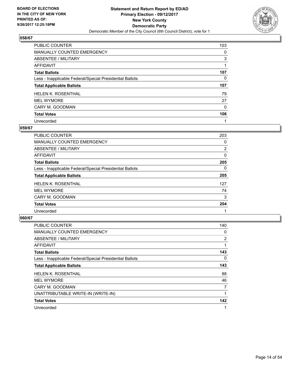

| <b>PUBLIC COUNTER</b>                                    | 103 |
|----------------------------------------------------------|-----|
| <b>MANUALLY COUNTED EMERGENCY</b>                        | 0   |
| ABSENTEE / MILITARY                                      | 3   |
| AFFIDAVIT                                                |     |
| <b>Total Ballots</b>                                     | 107 |
| Less - Inapplicable Federal/Special Presidential Ballots | 0   |
| <b>Total Applicable Ballots</b>                          | 107 |
| <b>HELEN K. ROSENTHAL</b>                                | 79  |
| <b>MEL WYMORE</b>                                        | 27  |
| CARY M. GOODMAN                                          | 0   |
| <b>Total Votes</b>                                       | 106 |
| Unrecorded                                               |     |

#### **059/67**

| <b>PUBLIC COUNTER</b>                                    | 203      |
|----------------------------------------------------------|----------|
| <b>MANUALLY COUNTED EMERGENCY</b>                        | 0        |
| ABSENTEE / MILITARY                                      | 2        |
| <b>AFFIDAVIT</b>                                         | $\Omega$ |
| <b>Total Ballots</b>                                     | 205      |
| Less - Inapplicable Federal/Special Presidential Ballots | $\Omega$ |
| <b>Total Applicable Ballots</b>                          | 205      |
| <b>HELEN K. ROSENTHAL</b>                                | 127      |
| <b>MEL WYMORE</b>                                        | 74       |
| CARY M. GOODMAN                                          | 3        |
| <b>Total Votes</b>                                       | 204      |
| Unrecorded                                               |          |

| <b>PUBLIC COUNTER</b>                                    | 140            |
|----------------------------------------------------------|----------------|
| <b>MANUALLY COUNTED EMERGENCY</b>                        | 0              |
| <b>ABSENTEE / MILITARY</b>                               | $\overline{2}$ |
| <b>AFFIDAVIT</b>                                         |                |
| <b>Total Ballots</b>                                     | 143            |
| Less - Inapplicable Federal/Special Presidential Ballots | 0              |
| <b>Total Applicable Ballots</b>                          | 143            |
| <b>HELEN K. ROSENTHAL</b>                                | 88             |
| <b>MEL WYMORE</b>                                        | 46             |
| CARY M. GOODMAN                                          | 7              |
| UNATTRIBUTABLE WRITE-IN (WRITE-IN)                       |                |
| <b>Total Votes</b>                                       | 142            |
| Unrecorded                                               |                |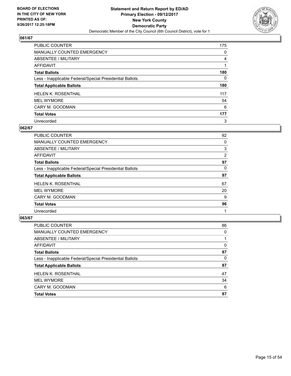

| <b>PUBLIC COUNTER</b>                                    | 175 |
|----------------------------------------------------------|-----|
| MANUALLY COUNTED EMERGENCY                               | 0   |
| ABSENTEE / MILITARY                                      | 4   |
| AFFIDAVIT                                                |     |
| <b>Total Ballots</b>                                     | 180 |
| Less - Inapplicable Federal/Special Presidential Ballots | 0   |
| <b>Total Applicable Ballots</b>                          | 180 |
| <b>HELEN K. ROSENTHAL</b>                                | 117 |
| <b>MEL WYMORE</b>                                        | 54  |
| CARY M. GOODMAN                                          | 6   |
| <b>Total Votes</b>                                       | 177 |
| Unrecorded                                               | 3   |

## **062/67**

| <b>PUBLIC COUNTER</b>                                    | 92 |
|----------------------------------------------------------|----|
| <b>MANUALLY COUNTED EMERGENCY</b>                        | 0  |
| ABSENTEE / MILITARY                                      | 3  |
| AFFIDAVIT                                                | 2  |
| <b>Total Ballots</b>                                     | 97 |
| Less - Inapplicable Federal/Special Presidential Ballots | 0  |
| <b>Total Applicable Ballots</b>                          | 97 |
| <b>HELEN K. ROSENTHAL</b>                                | 67 |
| <b>MEL WYMORE</b>                                        | 20 |
| CARY M. GOODMAN                                          | 9  |
| <b>Total Votes</b>                                       | 96 |
| Unrecorded                                               |    |

| PUBLIC COUNTER                                           | 86 |
|----------------------------------------------------------|----|
| <b>MANUALLY COUNTED EMERGENCY</b>                        | 0  |
| ABSENTEE / MILITARY                                      |    |
| AFFIDAVIT                                                | 0  |
| <b>Total Ballots</b>                                     | 87 |
| Less - Inapplicable Federal/Special Presidential Ballots | 0  |
| <b>Total Applicable Ballots</b>                          | 87 |
| <b>HELEN K. ROSENTHAL</b>                                | 47 |
| <b>MEL WYMORE</b>                                        | 34 |
| CARY M. GOODMAN                                          | 6  |
| <b>Total Votes</b>                                       | 87 |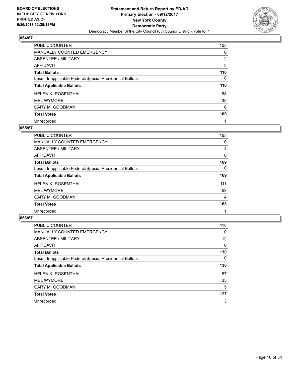

| PUBLIC COUNTER                                           | 105            |
|----------------------------------------------------------|----------------|
| <b>MANUALLY COUNTED EMERGENCY</b>                        | 0              |
| ABSENTEE / MILITARY                                      | $\overline{2}$ |
| AFFIDAVIT                                                | 3              |
| <b>Total Ballots</b>                                     | 110            |
| Less - Inapplicable Federal/Special Presidential Ballots | 0              |
| <b>Total Applicable Ballots</b>                          | 110            |
| <b>HELEN K. ROSENTHAL</b>                                | 68             |
| <b>MEL WYMORE</b>                                        | 35             |
| CARY M. GOODMAN                                          | 6              |
| <b>Total Votes</b>                                       | 109            |
| Unrecorded                                               |                |

#### **065/67**

| <b>PUBLIC COUNTER</b>                                    | 165 |
|----------------------------------------------------------|-----|
| <b>MANUALLY COUNTED EMERGENCY</b>                        | 0   |
| <b>ABSENTEE / MILITARY</b>                               | 4   |
| <b>AFFIDAVIT</b>                                         | 0   |
| <b>Total Ballots</b>                                     | 169 |
| Less - Inapplicable Federal/Special Presidential Ballots | 0   |
| <b>Total Applicable Ballots</b>                          | 169 |
| <b>HELEN K. ROSENTHAL</b>                                | 111 |
| <b>MEL WYMORE</b>                                        | 53  |
| CARY M. GOODMAN                                          | 4   |
| <b>Total Votes</b>                                       | 168 |
| Unrecorded                                               |     |

| <b>PUBLIC COUNTER</b>                                    | 118 |
|----------------------------------------------------------|-----|
| <b>MANUALLY COUNTED EMERGENCY</b>                        | 0   |
| ABSENTEE / MILITARY                                      | 12  |
| AFFIDAVIT                                                | 0   |
| <b>Total Ballots</b>                                     | 130 |
| Less - Inapplicable Federal/Special Presidential Ballots | 0   |
| <b>Total Applicable Ballots</b>                          | 130 |
| HELEN K. ROSENTHAL                                       | 87  |
| <b>MEL WYMORE</b>                                        | 35  |
| CARY M. GOODMAN                                          | 5   |
| <b>Total Votes</b>                                       | 127 |
| Unrecorded                                               | 3   |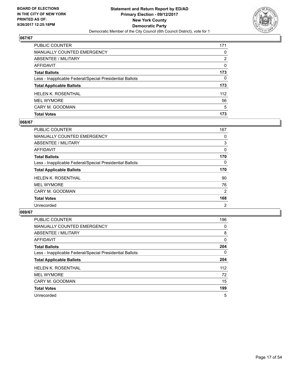

| <b>PUBLIC COUNTER</b>                                    | 171          |
|----------------------------------------------------------|--------------|
| <b>MANUALLY COUNTED EMERGENCY</b>                        | $\Omega$     |
| <b>ABSENTEE / MILITARY</b>                               | 2            |
| <b>AFFIDAVIT</b>                                         | $\mathbf{0}$ |
| <b>Total Ballots</b>                                     | 173          |
| Less - Inapplicable Federal/Special Presidential Ballots | $\Omega$     |
| <b>Total Applicable Ballots</b>                          | 173          |
| <b>HELEN K. ROSENTHAL</b>                                | 112          |
| <b>MEL WYMORE</b>                                        | 56           |
| CARY M. GOODMAN                                          | 5            |
| <b>Total Votes</b>                                       | 173          |

# **068/67**

| <b>PUBLIC COUNTER</b>                                    | 167            |
|----------------------------------------------------------|----------------|
| <b>MANUALLY COUNTED EMERGENCY</b>                        | 0              |
| ABSENTEE / MILITARY                                      | 3              |
| AFFIDAVIT                                                | 0              |
| <b>Total Ballots</b>                                     | 170            |
| Less - Inapplicable Federal/Special Presidential Ballots | 0              |
| <b>Total Applicable Ballots</b>                          | 170            |
| <b>HELEN K. ROSENTHAL</b>                                | 90             |
| <b>MEL WYMORE</b>                                        | 76             |
| CARY M. GOODMAN                                          | 2              |
| <b>Total Votes</b>                                       | 168            |
| Unrecorded                                               | $\overline{2}$ |

| <b>PUBLIC COUNTER</b>                                    | 196      |
|----------------------------------------------------------|----------|
| <b>MANUALLY COUNTED EMERGENCY</b>                        | 0        |
| ABSENTEE / MILITARY                                      | 8        |
| AFFIDAVIT                                                | 0        |
| <b>Total Ballots</b>                                     | 204      |
| Less - Inapplicable Federal/Special Presidential Ballots | $\Omega$ |
| <b>Total Applicable Ballots</b>                          | 204      |
| <b>HELEN K. ROSENTHAL</b>                                | 112      |
| <b>MEL WYMORE</b>                                        | 72       |
| CARY M. GOODMAN                                          | 15       |
| <b>Total Votes</b>                                       | 199      |
| Unrecorded                                               | 5        |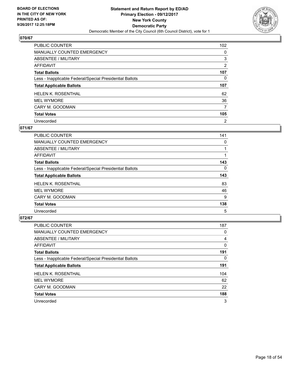

| PUBLIC COUNTER                                           | 102            |
|----------------------------------------------------------|----------------|
| MANUALLY COUNTED EMERGENCY                               | 0              |
| ABSENTEE / MILITARY                                      | 3              |
| AFFIDAVIT                                                | 2              |
| <b>Total Ballots</b>                                     | 107            |
| Less - Inapplicable Federal/Special Presidential Ballots | 0              |
| <b>Total Applicable Ballots</b>                          | 107            |
| <b>HELEN K. ROSENTHAL</b>                                | 62             |
| <b>MEL WYMORE</b>                                        | 36             |
| CARY M. GOODMAN                                          | 7              |
| <b>Total Votes</b>                                       | 105            |
| Unrecorded                                               | $\overline{2}$ |

## **071/67**

| <b>PUBLIC COUNTER</b>                                    | 141 |
|----------------------------------------------------------|-----|
| <b>MANUALLY COUNTED EMERGENCY</b>                        | 0   |
| ABSENTEE / MILITARY                                      |     |
| <b>AFFIDAVIT</b>                                         |     |
| <b>Total Ballots</b>                                     | 143 |
| Less - Inapplicable Federal/Special Presidential Ballots | 0   |
| <b>Total Applicable Ballots</b>                          | 143 |
| <b>HELEN K. ROSENTHAL</b>                                | 83  |
| <b>MEL WYMORE</b>                                        | 46  |
| CARY M. GOODMAN                                          | 9   |
| <b>Total Votes</b>                                       | 138 |
| Unrecorded                                               | 5   |

| <b>PUBLIC COUNTER</b>                                    | 187 |
|----------------------------------------------------------|-----|
| <b>MANUALLY COUNTED EMERGENCY</b>                        | 0   |
| ABSENTEE / MILITARY                                      | 4   |
| AFFIDAVIT                                                | 0   |
| <b>Total Ballots</b>                                     | 191 |
| Less - Inapplicable Federal/Special Presidential Ballots | 0   |
| <b>Total Applicable Ballots</b>                          | 191 |
| HELEN K. ROSENTHAL                                       | 104 |
| <b>MEL WYMORE</b>                                        | 62  |
| CARY M. GOODMAN                                          | 22  |
| <b>Total Votes</b>                                       | 188 |
| Unrecorded                                               | 3   |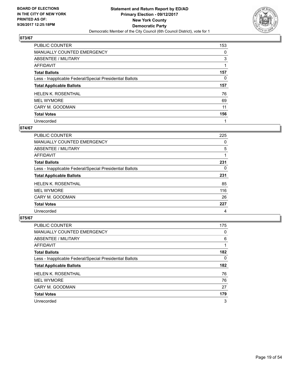

| PUBLIC COUNTER                                           | 153 |
|----------------------------------------------------------|-----|
| MANUALLY COUNTED EMERGENCY                               | 0   |
| ABSENTEE / MILITARY                                      | 3   |
| AFFIDAVIT                                                |     |
| <b>Total Ballots</b>                                     | 157 |
| Less - Inapplicable Federal/Special Presidential Ballots | 0   |
| <b>Total Applicable Ballots</b>                          | 157 |
| <b>HELEN K. ROSENTHAL</b>                                | 76  |
|                                                          |     |
| <b>MEL WYMORE</b>                                        | 69  |
| CARY M. GOODMAN                                          | 11  |
| <b>Total Votes</b>                                       | 156 |

#### **074/67**

| <b>PUBLIC COUNTER</b>                                    | 225 |
|----------------------------------------------------------|-----|
| <b>MANUALLY COUNTED EMERGENCY</b>                        | 0   |
| ABSENTEE / MILITARY                                      | 5   |
| AFFIDAVIT                                                |     |
| <b>Total Ballots</b>                                     | 231 |
| Less - Inapplicable Federal/Special Presidential Ballots | 0   |
| <b>Total Applicable Ballots</b>                          | 231 |
| <b>HELEN K. ROSENTHAL</b>                                | 85  |
| <b>MEL WYMORE</b>                                        | 116 |
| CARY M. GOODMAN                                          | 26  |
| <b>Total Votes</b>                                       | 227 |
| Unrecorded                                               | 4   |

| <b>PUBLIC COUNTER</b>                                    | 175 |
|----------------------------------------------------------|-----|
| <b>MANUALLY COUNTED EMERGENCY</b>                        | 0   |
| ABSENTEE / MILITARY                                      | 6   |
| AFFIDAVIT                                                |     |
| <b>Total Ballots</b>                                     | 182 |
| Less - Inapplicable Federal/Special Presidential Ballots | 0   |
| <b>Total Applicable Ballots</b>                          | 182 |
| HELEN K. ROSENTHAL                                       | 76  |
| <b>MEL WYMORE</b>                                        | 76  |
| CARY M. GOODMAN                                          | 27  |
| <b>Total Votes</b>                                       | 179 |
| Unrecorded                                               | 3   |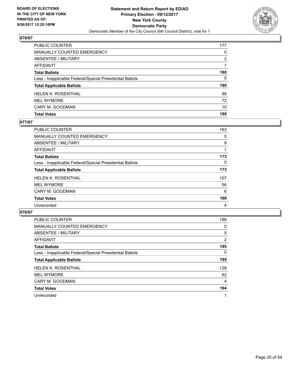

| PUBLIC COUNTER                                           | 177      |
|----------------------------------------------------------|----------|
| <b>MANUALLY COUNTED EMERGENCY</b>                        | $\Omega$ |
| <b>ABSENTEE / MILITARY</b>                               | 2        |
| <b>AFFIDAVIT</b>                                         |          |
| <b>Total Ballots</b>                                     | 180      |
| Less - Inapplicable Federal/Special Presidential Ballots | 0        |
| <b>Total Applicable Ballots</b>                          | 180      |
| <b>HELEN K. ROSENTHAL</b>                                | 98       |
| <b>MEL WYMORE</b>                                        | 72       |
| CARY M. GOODMAN                                          | 10       |
| <b>Total Votes</b>                                       | 180      |

#### **077/67**

| PUBLIC COUNTER                                           | 163 |
|----------------------------------------------------------|-----|
| <b>MANUALLY COUNTED EMERGENCY</b>                        | 0   |
| ABSENTEE / MILITARY                                      | 9   |
| AFFIDAVIT                                                |     |
| <b>Total Ballots</b>                                     | 173 |
| Less - Inapplicable Federal/Special Presidential Ballots | 0   |
| <b>Total Applicable Ballots</b>                          | 173 |
| <b>HELEN K. ROSENTHAL</b>                                | 107 |
| <b>MEL WYMORE</b>                                        | 56  |
| CARY M. GOODMAN                                          | 6   |
| <b>Total Votes</b>                                       | 169 |
| Unrecorded                                               | 4   |
|                                                          |     |

| <b>PUBLIC COUNTER</b>                                    | 188 |
|----------------------------------------------------------|-----|
| <b>MANUALLY COUNTED EMERGENCY</b>                        | 0   |
| <b>ABSENTEE / MILITARY</b>                               | 5   |
| <b>AFFIDAVIT</b>                                         | 2   |
| <b>Total Ballots</b>                                     | 195 |
| Less - Inapplicable Federal/Special Presidential Ballots | 0   |
| <b>Total Applicable Ballots</b>                          | 195 |
| <b>HELEN K. ROSENTHAL</b>                                | 128 |
| <b>MEL WYMORE</b>                                        | 62  |
| CARY M. GOODMAN                                          | 4   |
| <b>Total Votes</b>                                       | 194 |
| Unrecorded                                               | 1   |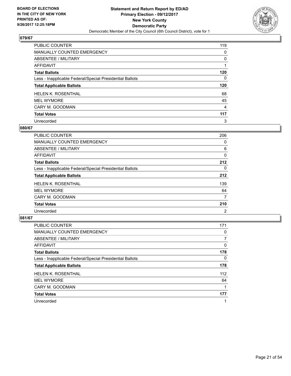

| PUBLIC COUNTER                                           | 119            |
|----------------------------------------------------------|----------------|
| <b>MANUALLY COUNTED EMERGENCY</b>                        | 0              |
| ABSENTEE / MILITARY                                      | 0              |
| AFFIDAVIT                                                |                |
| <b>Total Ballots</b>                                     | 120            |
| Less - Inapplicable Federal/Special Presidential Ballots | 0              |
| <b>Total Applicable Ballots</b>                          | 120            |
| <b>HELEN K. ROSENTHAL</b>                                | 68             |
| <b>MEL WYMORE</b>                                        | 45             |
| CARY M. GOODMAN                                          | $\overline{4}$ |
| <b>Total Votes</b>                                       | 117            |
| Unrecorded                                               | 3              |

#### **080/67**

| <b>PUBLIC COUNTER</b>                                    | 206            |
|----------------------------------------------------------|----------------|
| <b>MANUALLY COUNTED EMERGENCY</b>                        | 0              |
| ABSENTEE / MILITARY                                      | 6              |
| <b>AFFIDAVIT</b>                                         | 0              |
| <b>Total Ballots</b>                                     | 212            |
| Less - Inapplicable Federal/Special Presidential Ballots | 0              |
| <b>Total Applicable Ballots</b>                          | 212            |
| <b>HELEN K. ROSENTHAL</b>                                | 139            |
| <b>MEL WYMORE</b>                                        | 64             |
| CARY M. GOODMAN                                          | 7              |
| <b>Total Votes</b>                                       | 210            |
| Unrecorded                                               | $\overline{2}$ |

| <b>PUBLIC COUNTER</b>                                    | 171 |
|----------------------------------------------------------|-----|
| <b>MANUALLY COUNTED EMERGENCY</b>                        | 0   |
| ABSENTEE / MILITARY                                      |     |
| AFFIDAVIT                                                | 0   |
| <b>Total Ballots</b>                                     | 178 |
| Less - Inapplicable Federal/Special Presidential Ballots | 0   |
| <b>Total Applicable Ballots</b>                          | 178 |
| <b>HELEN K. ROSENTHAL</b>                                | 112 |
| <b>MEL WYMORE</b>                                        | 64  |
| CARY M. GOODMAN                                          |     |
| <b>Total Votes</b>                                       | 177 |
| Unrecorded                                               |     |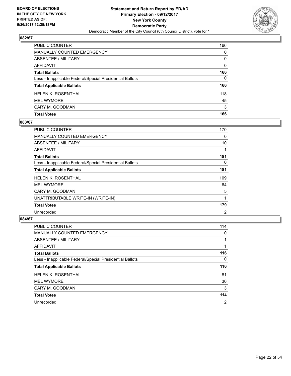

| <b>Total Votes</b>                                       | 166          |
|----------------------------------------------------------|--------------|
| CARY M. GOODMAN                                          | 3            |
| <b>MEL WYMORE</b>                                        | 45           |
| <b>HELEN K. ROSENTHAL</b>                                | 118          |
| <b>Total Applicable Ballots</b>                          | 166          |
| Less - Inapplicable Federal/Special Presidential Ballots | 0            |
| <b>Total Ballots</b>                                     | 166          |
| <b>AFFIDAVIT</b>                                         | $\Omega$     |
| <b>ABSENTEE / MILITARY</b>                               | $\mathbf{0}$ |
| <b>MANUALLY COUNTED EMERGENCY</b>                        | $\Omega$     |
| <b>PUBLIC COUNTER</b>                                    | 166          |

# **083/67**

| <b>PUBLIC COUNTER</b>                                    | 170 |
|----------------------------------------------------------|-----|
| <b>MANUALLY COUNTED EMERGENCY</b>                        | 0   |
| ABSENTEE / MILITARY                                      | 10  |
| AFFIDAVIT                                                |     |
| <b>Total Ballots</b>                                     | 181 |
| Less - Inapplicable Federal/Special Presidential Ballots | 0   |
| <b>Total Applicable Ballots</b>                          | 181 |
| HELEN K. ROSENTHAL                                       | 109 |
| <b>MEL WYMORE</b>                                        | 64  |
| CARY M. GOODMAN                                          | 5   |
| UNATTRIBUTABLE WRITE-IN (WRITE-IN)                       | 1   |
| <b>Total Votes</b>                                       | 179 |
| Unrecorded                                               | 2   |

| <b>PUBLIC COUNTER</b>                                    | 114 |
|----------------------------------------------------------|-----|
| MANUALLY COUNTED EMERGENCY                               | 0   |
| ABSENTEE / MILITARY                                      |     |
| <b>AFFIDAVIT</b>                                         |     |
| <b>Total Ballots</b>                                     | 116 |
| Less - Inapplicable Federal/Special Presidential Ballots | 0   |
| <b>Total Applicable Ballots</b>                          | 116 |
| <b>HELEN K. ROSENTHAL</b>                                | 81  |
| <b>MEL WYMORE</b>                                        | 30  |
| CARY M. GOODMAN                                          | 3   |
| <b>Total Votes</b>                                       | 114 |
|                                                          |     |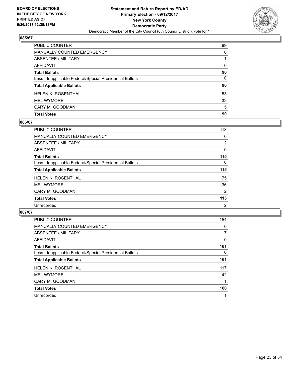

| <b>Total Votes</b>                                       | 90       |
|----------------------------------------------------------|----------|
| CARY M. GOODMAN                                          | 5        |
| <b>MEL WYMORE</b>                                        | 32       |
| <b>HELEN K. ROSENTHAL</b>                                | 53       |
| <b>Total Applicable Ballots</b>                          | 90       |
| Less - Inapplicable Federal/Special Presidential Ballots | 0        |
| <b>Total Ballots</b>                                     | 90       |
| AFFIDAVIT                                                | $\Omega$ |
| <b>ABSENTEE / MILITARY</b>                               |          |
| <b>MANUALLY COUNTED EMERGENCY</b>                        | $\Omega$ |
| PUBLIC COUNTER                                           | 89       |

# **086/67**

| PUBLIC COUNTER                                           | 113            |
|----------------------------------------------------------|----------------|
| <b>MANUALLY COUNTED EMERGENCY</b>                        | 0              |
| ABSENTEE / MILITARY                                      | $\overline{2}$ |
| AFFIDAVIT                                                | 0              |
| <b>Total Ballots</b>                                     | 115            |
| Less - Inapplicable Federal/Special Presidential Ballots | 0              |
| <b>Total Applicable Ballots</b>                          | 115            |
| <b>HELEN K. ROSENTHAL</b>                                | 75             |
| <b>MEL WYMORE</b>                                        | 36             |
| CARY M. GOODMAN                                          | 2              |
| <b>Total Votes</b>                                       | 113            |
| Unrecorded                                               | 2              |
|                                                          |                |

| <b>PUBLIC COUNTER</b>                                    | 154 |
|----------------------------------------------------------|-----|
| <b>MANUALLY COUNTED EMERGENCY</b>                        | 0   |
| ABSENTEE / MILITARY                                      | 7   |
| AFFIDAVIT                                                | 0   |
| <b>Total Ballots</b>                                     | 161 |
| Less - Inapplicable Federal/Special Presidential Ballots | 0   |
| <b>Total Applicable Ballots</b>                          | 161 |
| <b>HELEN K. ROSENTHAL</b>                                | 117 |
| <b>MEL WYMORE</b>                                        | 42  |
| CARY M. GOODMAN                                          |     |
| <b>Total Votes</b>                                       | 160 |
| Unrecorded                                               | 1   |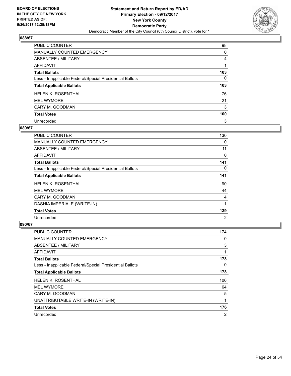

| PUBLIC COUNTER                                           | 98  |
|----------------------------------------------------------|-----|
| <b>MANUALLY COUNTED EMERGENCY</b>                        | 0   |
| ABSENTEE / MILITARY                                      | 4   |
| AFFIDAVIT                                                |     |
| <b>Total Ballots</b>                                     | 103 |
| Less - Inapplicable Federal/Special Presidential Ballots | 0   |
| <b>Total Applicable Ballots</b>                          | 103 |
| <b>HELEN K. ROSENTHAL</b>                                | 76  |
| <b>MEL WYMORE</b>                                        | 21  |
| CARY M. GOODMAN                                          | 3   |
| <b>Total Votes</b>                                       | 100 |
| Unrecorded                                               | 3   |

#### **089/67**

| PUBLIC COUNTER                                           | 130            |
|----------------------------------------------------------|----------------|
| <b>MANUALLY COUNTED EMERGENCY</b>                        | 0              |
| ABSENTEE / MILITARY                                      | 11             |
| <b>AFFIDAVIT</b>                                         | 0              |
| <b>Total Ballots</b>                                     | 141            |
| Less - Inapplicable Federal/Special Presidential Ballots | 0              |
| <b>Total Applicable Ballots</b>                          | 141            |
| <b>HELEN K. ROSENTHAL</b>                                | 90             |
| <b>MEL WYMORE</b>                                        | 44             |
| CARY M. GOODMAN                                          | 4              |
| DASHIA IMPERIALE (WRITE-IN)                              | 1              |
| <b>Total Votes</b>                                       | 139            |
| Unrecorded                                               | $\overline{2}$ |

| PUBLIC COUNTER                                           | 174            |
|----------------------------------------------------------|----------------|
| <b>MANUALLY COUNTED EMERGENCY</b>                        | 0              |
| ABSENTEE / MILITARY                                      | 3              |
| AFFIDAVIT                                                | 1              |
| <b>Total Ballots</b>                                     | 178            |
| Less - Inapplicable Federal/Special Presidential Ballots | 0              |
| <b>Total Applicable Ballots</b>                          | 178            |
| <b>HELEN K. ROSENTHAL</b>                                | 106            |
| <b>MEL WYMORE</b>                                        | 64             |
| CARY M. GOODMAN                                          | 5              |
| UNATTRIBUTABLE WRITE-IN (WRITE-IN)                       | 1              |
| <b>Total Votes</b>                                       | 176            |
| Unrecorded                                               | $\overline{2}$ |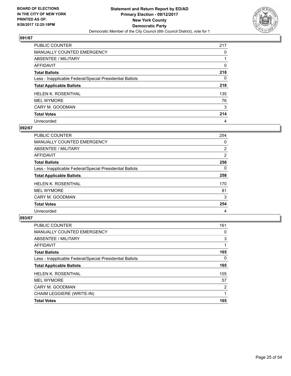

| PUBLIC COUNTER                                           | 217 |
|----------------------------------------------------------|-----|
| MANUALLY COUNTED EMERGENCY                               | 0   |
| ABSENTEE / MILITARY                                      |     |
| AFFIDAVIT                                                | 0   |
| <b>Total Ballots</b>                                     | 218 |
| Less - Inapplicable Federal/Special Presidential Ballots | 0   |
| <b>Total Applicable Ballots</b>                          | 218 |
| <b>HELEN K. ROSENTHAL</b>                                | 135 |
| <b>MEL WYMORE</b>                                        | 76  |
| CARY M. GOODMAN                                          | 3   |
| <b>Total Votes</b>                                       | 214 |
| Unrecorded                                               | 4   |

## **092/67**

| <b>PUBLIC COUNTER</b>                                    | 254            |
|----------------------------------------------------------|----------------|
| <b>MANUALLY COUNTED EMERGENCY</b>                        | 0              |
| <b>ABSENTEE / MILITARY</b>                               | $\overline{2}$ |
| <b>AFFIDAVIT</b>                                         | 2              |
| <b>Total Ballots</b>                                     | 258            |
| Less - Inapplicable Federal/Special Presidential Ballots | 0              |
| <b>Total Applicable Ballots</b>                          | 258            |
| <b>HELEN K. ROSENTHAL</b>                                | 170            |
| <b>MEL WYMORE</b>                                        | 81             |
| CARY M. GOODMAN                                          | 3              |
| <b>Total Votes</b>                                       | 254            |
| Unrecorded                                               | 4              |

| <b>PUBLIC COUNTER</b>                                    | 161 |
|----------------------------------------------------------|-----|
| <b>MANUALLY COUNTED EMERGENCY</b>                        | 0   |
| ABSENTEE / MILITARY                                      | 3   |
| <b>AFFIDAVIT</b>                                         |     |
| <b>Total Ballots</b>                                     | 165 |
| Less - Inapplicable Federal/Special Presidential Ballots | 0   |
| <b>Total Applicable Ballots</b>                          | 165 |
| <b>HELEN K. ROSENTHAL</b>                                | 105 |
| <b>MEL WYMORE</b>                                        | 57  |
| CARY M. GOODMAN                                          | 2   |
| CHAIM LEGGIERE (WRITE-IN)                                | 1   |
| <b>Total Votes</b>                                       | 165 |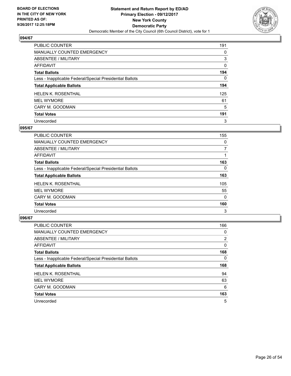

| PUBLIC COUNTER                                           | 191 |
|----------------------------------------------------------|-----|
| <b>MANUALLY COUNTED EMERGENCY</b>                        | 0   |
| ABSENTEE / MILITARY                                      | 3   |
| AFFIDAVIT                                                | 0   |
| <b>Total Ballots</b>                                     | 194 |
| Less - Inapplicable Federal/Special Presidential Ballots | 0   |
| <b>Total Applicable Ballots</b>                          | 194 |
| <b>HELEN K. ROSENTHAL</b>                                | 125 |
| <b>MEL WYMORE</b>                                        | 61  |
| CARY M. GOODMAN                                          | 5   |
| <b>Total Votes</b>                                       | 191 |
| Unrecorded                                               | 3   |

#### **095/67**

| <b>PUBLIC COUNTER</b>                                    | 155      |
|----------------------------------------------------------|----------|
| <b>MANUALLY COUNTED EMERGENCY</b>                        | 0        |
| ABSENTEE / MILITARY                                      | 7        |
| <b>AFFIDAVIT</b>                                         |          |
| <b>Total Ballots</b>                                     | 163      |
| Less - Inapplicable Federal/Special Presidential Ballots | 0        |
| <b>Total Applicable Ballots</b>                          | 163      |
| <b>HELEN K. ROSENTHAL</b>                                | 105      |
| <b>MEL WYMORE</b>                                        | 55       |
| CARY M. GOODMAN                                          | $\Omega$ |
| <b>Total Votes</b>                                       | 160      |
| Unrecorded                                               | 3        |

| <b>PUBLIC COUNTER</b>                                    | 166 |
|----------------------------------------------------------|-----|
| <b>MANUALLY COUNTED EMERGENCY</b>                        | 0   |
| ABSENTEE / MILITARY                                      | 2   |
| AFFIDAVIT                                                | 0   |
| <b>Total Ballots</b>                                     | 168 |
| Less - Inapplicable Federal/Special Presidential Ballots | 0   |
| <b>Total Applicable Ballots</b>                          | 168 |
| HELEN K. ROSENTHAL                                       | 94  |
| <b>MEL WYMORE</b>                                        | 63  |
| CARY M. GOODMAN                                          | 6   |
|                                                          |     |
| <b>Total Votes</b>                                       | 163 |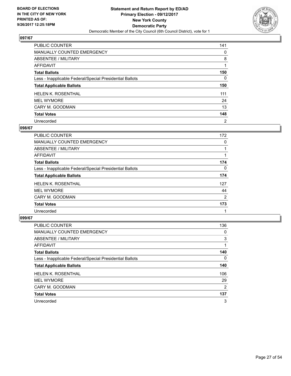

| PUBLIC COUNTER                                           | 141            |
|----------------------------------------------------------|----------------|
| <b>MANUALLY COUNTED EMERGENCY</b>                        | 0              |
| ABSENTEE / MILITARY                                      | 8              |
| AFFIDAVIT                                                |                |
| <b>Total Ballots</b>                                     | 150            |
| Less - Inapplicable Federal/Special Presidential Ballots | 0              |
| <b>Total Applicable Ballots</b>                          | 150            |
| <b>HELEN K. ROSENTHAL</b>                                | 111            |
| <b>MEL WYMORE</b>                                        | 24             |
| CARY M. GOODMAN                                          | 13             |
| <b>Total Votes</b>                                       | 148            |
| Unrecorded                                               | $\overline{2}$ |

#### **098/67**

| <b>PUBLIC COUNTER</b>                                    | 172            |
|----------------------------------------------------------|----------------|
| <b>MANUALLY COUNTED EMERGENCY</b>                        | 0              |
| ABSENTEE / MILITARY                                      |                |
| <b>AFFIDAVIT</b>                                         |                |
| <b>Total Ballots</b>                                     | 174            |
| Less - Inapplicable Federal/Special Presidential Ballots | 0              |
| <b>Total Applicable Ballots</b>                          | 174            |
| <b>HELEN K. ROSENTHAL</b>                                | 127            |
| <b>MEL WYMORE</b>                                        | 44             |
| CARY M. GOODMAN                                          | $\overline{2}$ |
| <b>Total Votes</b>                                       | 173            |
| Unrecorded                                               |                |

| <b>PUBLIC COUNTER</b>                                    | 136            |
|----------------------------------------------------------|----------------|
| <b>MANUALLY COUNTED EMERGENCY</b>                        | 0              |
| ABSENTEE / MILITARY                                      | 3              |
| AFFIDAVIT                                                |                |
| <b>Total Ballots</b>                                     | 140            |
| Less - Inapplicable Federal/Special Presidential Ballots | 0              |
| <b>Total Applicable Ballots</b>                          | 140            |
| <b>HELEN K. ROSENTHAL</b>                                | 106            |
| <b>MEL WYMORE</b>                                        | 29             |
| CARY M. GOODMAN                                          | $\overline{2}$ |
| <b>Total Votes</b>                                       | 137            |
| Unrecorded                                               | 3              |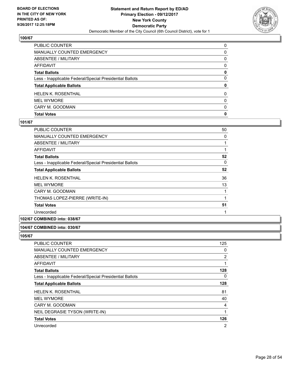

| PUBLIC COUNTER                                           | 0            |
|----------------------------------------------------------|--------------|
| MANUALLY COUNTED EMERGENCY                               | 0            |
| <b>ABSENTEE / MILITARY</b>                               | 0            |
| AFFIDAVIT                                                | $\Omega$     |
| <b>Total Ballots</b>                                     | 0            |
| Less - Inapplicable Federal/Special Presidential Ballots | $\mathbf{0}$ |
| <b>Total Applicable Ballots</b>                          | 0            |
| HELEN K. ROSENTHAL                                       | $\mathbf{0}$ |
| <b>MEL WYMORE</b>                                        | $\mathbf{0}$ |
| CARY M. GOODMAN                                          | 0            |
| <b>Total Votes</b>                                       | 0            |

# **101/67**

| <b>PUBLIC COUNTER</b>                                    | 50 |
|----------------------------------------------------------|----|
| <b>MANUALLY COUNTED EMERGENCY</b>                        | 0  |
| ABSENTEE / MILITARY                                      | 1  |
| AFFIDAVIT                                                |    |
| <b>Total Ballots</b>                                     | 52 |
| Less - Inapplicable Federal/Special Presidential Ballots | 0  |
| <b>Total Applicable Ballots</b>                          | 52 |
| <b>HELEN K. ROSENTHAL</b>                                | 36 |
| <b>MEL WYMORE</b>                                        | 13 |
| CARY M. GOODMAN                                          | 1  |
| THOMAS LOPEZ-PIERRE (WRITE-IN)                           | 1  |
| <b>Total Votes</b>                                       | 51 |
| Unrecorded                                               |    |

# **102/67 COMBINED into: 038/67**

# **104/67 COMBINED into: 030/67**

| <b>PUBLIC COUNTER</b>                                    | 125            |
|----------------------------------------------------------|----------------|
| MANUALLY COUNTED EMERGENCY                               | 0              |
| ABSENTEE / MILITARY                                      | 2              |
| AFFIDAVIT                                                |                |
| <b>Total Ballots</b>                                     | 128            |
| Less - Inapplicable Federal/Special Presidential Ballots | 0              |
| <b>Total Applicable Ballots</b>                          | 128            |
| <b>HELEN K. ROSENTHAL</b>                                | 81             |
| <b>MEL WYMORE</b>                                        | 40             |
| CARY M. GOODMAN                                          | 4              |
| NEIL DEGRASIE TYSON (WRITE-IN)                           | 1              |
| <b>Total Votes</b>                                       | 126            |
| Unrecorded                                               | $\overline{2}$ |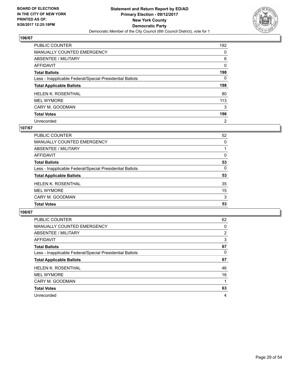

| PUBLIC COUNTER                                           | 192            |
|----------------------------------------------------------|----------------|
| <b>MANUALLY COUNTED EMERGENCY</b>                        | 0              |
| ABSENTEE / MILITARY                                      | 6              |
| AFFIDAVIT                                                | 0              |
| <b>Total Ballots</b>                                     | 198            |
| Less - Inapplicable Federal/Special Presidential Ballots | 0              |
| <b>Total Applicable Ballots</b>                          | 198            |
| <b>HELEN K. ROSENTHAL</b>                                | 80             |
| <b>MEL WYMORE</b>                                        | 113            |
| CARY M. GOODMAN                                          | 3              |
| <b>Total Votes</b>                                       | 196            |
| Unrecorded                                               | $\overline{2}$ |

#### **107/67**

| PUBLIC COUNTER                                           | 52       |
|----------------------------------------------------------|----------|
| MANUALLY COUNTED EMERGENCY                               | 0        |
| ABSENTEE / MILITARY                                      |          |
| AFFIDAVIT                                                | 0        |
| <b>Total Ballots</b>                                     | 53       |
| Less - Inapplicable Federal/Special Presidential Ballots | $\Omega$ |
| <b>Total Applicable Ballots</b>                          | 53       |
| <b>HELEN K. ROSENTHAL</b>                                | 35       |
| <b>MEL WYMORE</b>                                        | 15       |
| CARY M. GOODMAN                                          | 3        |
| <b>Total Votes</b>                                       | 53       |

| <b>PUBLIC COUNTER</b>                                    | 62          |
|----------------------------------------------------------|-------------|
| <b>MANUALLY COUNTED EMERGENCY</b>                        | $\mathbf 0$ |
| ABSENTEE / MILITARY                                      | 2           |
| <b>AFFIDAVIT</b>                                         | 3           |
| <b>Total Ballots</b>                                     | 67          |
| Less - Inapplicable Federal/Special Presidential Ballots | 0           |
| <b>Total Applicable Ballots</b>                          | 67          |
| <b>HELEN K. ROSENTHAL</b>                                | 46          |
| <b>MEL WYMORE</b>                                        | 16          |
| CARY M. GOODMAN                                          |             |
| <b>Total Votes</b>                                       | 63          |
| Unrecorded                                               | 4           |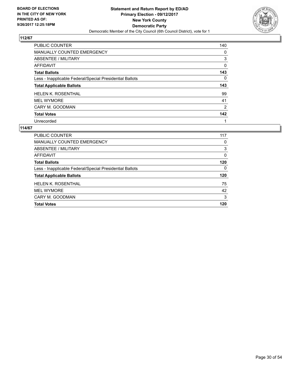

| PUBLIC COUNTER                                           | 140            |
|----------------------------------------------------------|----------------|
| <b>MANUALLY COUNTED EMERGENCY</b>                        | 0              |
| ABSENTEE / MILITARY                                      | 3              |
| AFFIDAVIT                                                | 0              |
| <b>Total Ballots</b>                                     | 143            |
| Less - Inapplicable Federal/Special Presidential Ballots | 0              |
| <b>Total Applicable Ballots</b>                          | 143            |
|                                                          |                |
| <b>HELEN K. ROSENTHAL</b>                                | 99             |
| <b>MEL WYMORE</b>                                        | 41             |
|                                                          | $\overline{2}$ |
| CARY M. GOODMAN<br><b>Total Votes</b>                    | 142            |

| <b>PUBLIC COUNTER</b>                                    | 117 |
|----------------------------------------------------------|-----|
| <b>MANUALLY COUNTED EMERGENCY</b>                        | 0   |
| ABSENTEE / MILITARY                                      | 3   |
| AFFIDAVIT                                                | 0   |
| <b>Total Ballots</b>                                     | 120 |
| Less - Inapplicable Federal/Special Presidential Ballots | 0   |
| <b>Total Applicable Ballots</b>                          | 120 |
| <b>HELEN K. ROSENTHAL</b>                                | 75  |
| <b>MEL WYMORE</b>                                        | 42  |
| CARY M. GOODMAN                                          | 3   |
| <b>Total Votes</b>                                       | 120 |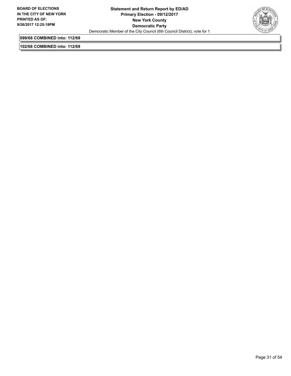

**099/68 COMBINED into: 112/69**

**102/68 COMBINED into: 112/69**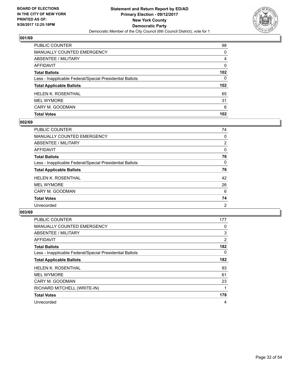

| PUBLIC COUNTER                                           | 98               |
|----------------------------------------------------------|------------------|
| <b>MANUALLY COUNTED EMERGENCY</b>                        | $\mathbf{0}$     |
| <b>ABSENTEE / MILITARY</b>                               | 4                |
| <b>AFFIDAVIT</b>                                         | $\Omega$         |
| <b>Total Ballots</b>                                     | 102              |
| Less - Inapplicable Federal/Special Presidential Ballots | $\mathbf{0}$     |
| <b>Total Applicable Ballots</b>                          | 102 <sub>2</sub> |
| <b>HELEN K. ROSENTHAL</b>                                | 65               |
| <b>MEL WYMORE</b>                                        | 31               |
| CARY M. GOODMAN                                          | 6                |
| <b>Total Votes</b>                                       | 102              |

# **002/69**

| PUBLIC COUNTER                                           | 74             |
|----------------------------------------------------------|----------------|
| <b>MANUALLY COUNTED EMERGENCY</b>                        | 0              |
| ABSENTEE / MILITARY                                      | $\overline{2}$ |
| AFFIDAVIT                                                | 0              |
| <b>Total Ballots</b>                                     | 76             |
| Less - Inapplicable Federal/Special Presidential Ballots | 0              |
| <b>Total Applicable Ballots</b>                          | 76             |
| <b>HELEN K. ROSENTHAL</b>                                | 42             |
| <b>MEL WYMORE</b>                                        | 26             |
| CARY M. GOODMAN                                          | 6              |
| <b>Total Votes</b>                                       | 74             |
| Unrecorded                                               | 2              |

| <b>PUBLIC COUNTER</b>                                    | 177            |
|----------------------------------------------------------|----------------|
| <b>MANUALLY COUNTED EMERGENCY</b>                        | 0              |
| ABSENTEE / MILITARY                                      | 3              |
| <b>AFFIDAVIT</b>                                         | $\overline{2}$ |
| <b>Total Ballots</b>                                     | 182            |
| Less - Inapplicable Federal/Special Presidential Ballots | 0              |
| <b>Total Applicable Ballots</b>                          | 182            |
| <b>HELEN K. ROSENTHAL</b>                                | 93             |
| <b>MEL WYMORE</b>                                        | 61             |
| CARY M. GOODMAN                                          | 23             |
| RICHARD MITCHELL (WRITE-IN)                              | 1              |
| <b>Total Votes</b>                                       | 178            |
| Unrecorded                                               | 4              |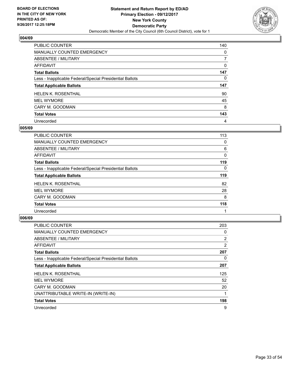

| PUBLIC COUNTER                                           | 140 |
|----------------------------------------------------------|-----|
| <b>MANUALLY COUNTED EMERGENCY</b>                        | 0   |
| ABSENTEE / MILITARY                                      | 7   |
| AFFIDAVIT                                                | 0   |
| <b>Total Ballots</b>                                     | 147 |
| Less - Inapplicable Federal/Special Presidential Ballots | 0   |
|                                                          |     |
| <b>Total Applicable Ballots</b>                          | 147 |
| <b>HELEN K. ROSENTHAL</b>                                | 90  |
| <b>MEL WYMORE</b>                                        | 45  |
| CARY M. GOODMAN                                          | 8   |
| <b>Total Votes</b>                                       | 143 |

#### **005/69**

| <b>PUBLIC COUNTER</b>                                    | 113 |
|----------------------------------------------------------|-----|
| <b>MANUALLY COUNTED EMERGENCY</b>                        | 0   |
| <b>ABSENTEE / MILITARY</b>                               | 6   |
| <b>AFFIDAVIT</b>                                         | 0   |
| <b>Total Ballots</b>                                     | 119 |
| Less - Inapplicable Federal/Special Presidential Ballots | 0   |
| <b>Total Applicable Ballots</b>                          | 119 |
| <b>HELEN K. ROSENTHAL</b>                                | 82  |
| <b>MEL WYMORE</b>                                        | 28  |
| CARY M. GOODMAN                                          | 8   |
| <b>Total Votes</b>                                       | 118 |
| Unrecorded                                               |     |

| PUBLIC COUNTER                                           | 203            |
|----------------------------------------------------------|----------------|
| MANUALLY COUNTED EMERGENCY                               | 0              |
| ABSENTEE / MILITARY                                      | $\overline{2}$ |
| AFFIDAVIT                                                | 2              |
| <b>Total Ballots</b>                                     | 207            |
| Less - Inapplicable Federal/Special Presidential Ballots | 0              |
| <b>Total Applicable Ballots</b>                          | 207            |
| <b>HELEN K. ROSENTHAL</b>                                | 125            |
| <b>MEL WYMORE</b>                                        | 52             |
| CARY M. GOODMAN                                          | 20             |
| UNATTRIBUTABLE WRITE-IN (WRITE-IN)                       |                |
| <b>Total Votes</b>                                       | 198            |
| Unrecorded                                               | 9              |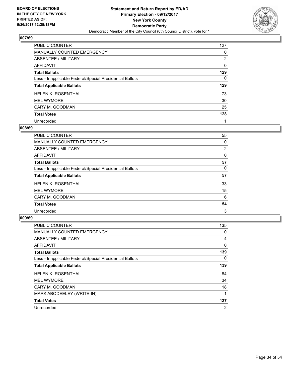

| PUBLIC COUNTER                                           | 127            |
|----------------------------------------------------------|----------------|
| <b>MANUALLY COUNTED EMERGENCY</b>                        | 0              |
| ABSENTEE / MILITARY                                      | $\overline{2}$ |
| AFFIDAVIT                                                | 0              |
| <b>Total Ballots</b>                                     | 129            |
| Less - Inapplicable Federal/Special Presidential Ballots | 0              |
| <b>Total Applicable Ballots</b>                          | 129            |
| <b>HELEN K. ROSENTHAL</b>                                | 73             |
| <b>MEL WYMORE</b>                                        | 30             |
| CARY M. GOODMAN                                          | 25             |
| <b>Total Votes</b>                                       | 128            |
| Unrecorded                                               |                |

#### **008/69**

| <b>PUBLIC COUNTER</b>                                    | 55 |
|----------------------------------------------------------|----|
| <b>MANUALLY COUNTED EMERGENCY</b>                        | 0  |
| ABSENTEE / MILITARY                                      | 2  |
| AFFIDAVIT                                                | 0  |
| <b>Total Ballots</b>                                     | 57 |
| Less - Inapplicable Federal/Special Presidential Ballots | 0  |
| <b>Total Applicable Ballots</b>                          | 57 |
| <b>HELEN K. ROSENTHAL</b>                                | 33 |
| <b>MEL WYMORE</b>                                        | 15 |
| CARY M. GOODMAN                                          | 6  |
| <b>Total Votes</b>                                       | 54 |
| Unrecorded                                               | 3  |

| <b>PUBLIC COUNTER</b>                                    | 135            |
|----------------------------------------------------------|----------------|
| MANUALLY COUNTED EMERGENCY                               | 0              |
| ABSENTEE / MILITARY                                      | 4              |
| <b>AFFIDAVIT</b>                                         | 0              |
| <b>Total Ballots</b>                                     | 139            |
| Less - Inapplicable Federal/Special Presidential Ballots | 0              |
| <b>Total Applicable Ballots</b>                          | 139            |
| <b>HELEN K. ROSENTHAL</b>                                | 84             |
| <b>MEL WYMORE</b>                                        | 34             |
| CARY M. GOODMAN                                          | 18             |
| MARK ABODEELEY (WRITE-IN)                                |                |
| <b>Total Votes</b>                                       | 137            |
| Unrecorded                                               | $\overline{2}$ |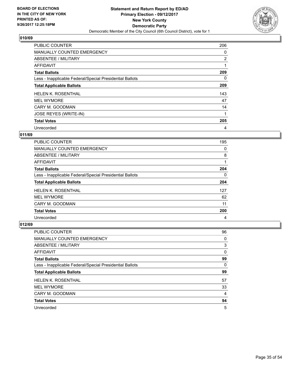

| <b>PUBLIC COUNTER</b>                                    | 206            |
|----------------------------------------------------------|----------------|
| MANUALLY COUNTED EMERGENCY                               | 0              |
| ABSENTEE / MILITARY                                      | $\overline{2}$ |
| AFFIDAVIT                                                | 1              |
| <b>Total Ballots</b>                                     | 209            |
| Less - Inapplicable Federal/Special Presidential Ballots | 0              |
| <b>Total Applicable Ballots</b>                          | 209            |
| <b>HELEN K. ROSENTHAL</b>                                | 143            |
| <b>MEL WYMORE</b>                                        | 47             |
| CARY M. GOODMAN                                          | 14             |
| JOSE REYES (WRITE-IN)                                    | 1              |
| <b>Total Votes</b>                                       | 205            |
| Unrecorded                                               | 4              |

# **011/69**

| <b>PUBLIC COUNTER</b>                                    | 195 |
|----------------------------------------------------------|-----|
| MANUALLY COUNTED EMERGENCY                               | 0   |
| ABSENTEE / MILITARY                                      | 8   |
| AFFIDAVIT                                                |     |
| <b>Total Ballots</b>                                     | 204 |
| Less - Inapplicable Federal/Special Presidential Ballots | 0   |
| <b>Total Applicable Ballots</b>                          | 204 |
| <b>HELEN K. ROSENTHAL</b>                                | 127 |
| <b>MEL WYMORE</b>                                        | 62  |
| CARY M. GOODMAN                                          | 11  |
| <b>Total Votes</b>                                       | 200 |
| Unrecorded                                               | 4   |

| <b>PUBLIC COUNTER</b>                                    | 96 |
|----------------------------------------------------------|----|
| <b>MANUALLY COUNTED EMERGENCY</b>                        | 0  |
| ABSENTEE / MILITARY                                      | 3  |
| AFFIDAVIT                                                | 0  |
| <b>Total Ballots</b>                                     | 99 |
| Less - Inapplicable Federal/Special Presidential Ballots | 0  |
| <b>Total Applicable Ballots</b>                          | 99 |
| <b>HELEN K. ROSENTHAL</b>                                | 57 |
| <b>MEL WYMORE</b>                                        | 33 |
| CARY M. GOODMAN                                          | 4  |
| <b>Total Votes</b>                                       | 94 |
| Unrecorded                                               | 5  |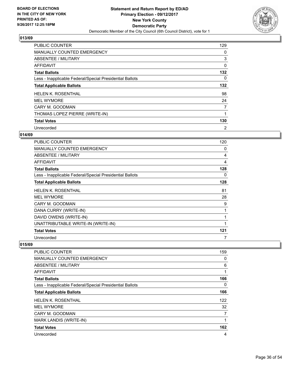

| <b>PUBLIC COUNTER</b>                                    | 129            |
|----------------------------------------------------------|----------------|
| <b>MANUALLY COUNTED EMERGENCY</b>                        | 0              |
| ABSENTEE / MILITARY                                      | 3              |
| <b>AFFIDAVIT</b>                                         | 0              |
| <b>Total Ballots</b>                                     | 132            |
| Less - Inapplicable Federal/Special Presidential Ballots | $\Omega$       |
| <b>Total Applicable Ballots</b>                          | 132            |
| <b>HELEN K. ROSENTHAL</b>                                | 98             |
| <b>MEL WYMORE</b>                                        | 24             |
| CARY M. GOODMAN                                          | 7              |
| THOMAS LOPEZ PIERRE (WRITE-IN)                           |                |
| <b>Total Votes</b>                                       | 130            |
| Unrecorded                                               | $\overline{2}$ |

## **014/69**

| <b>PUBLIC COUNTER</b>                                    | 120         |
|----------------------------------------------------------|-------------|
| MANUALLY COUNTED EMERGENCY                               | 0           |
| ABSENTEE / MILITARY                                      | 4           |
| AFFIDAVIT                                                | 4           |
| <b>Total Ballots</b>                                     | 128         |
| Less - Inapplicable Federal/Special Presidential Ballots | 0           |
| <b>Total Applicable Ballots</b>                          | 128         |
| <b>HELEN K. ROSENTHAL</b>                                | 81          |
| <b>MEL WYMORE</b>                                        | 28          |
| CARY M. GOODMAN                                          | 9           |
| DANA CURRY (WRITE-IN)                                    | 1           |
| DAVID OWENS (WRITE-IN)                                   | 1           |
| UNATTRIBUTABLE WRITE-IN (WRITE-IN)                       | $\mathbf 1$ |
| <b>Total Votes</b>                                       | 121         |
| Unrecorded                                               |             |

| <b>PUBLIC COUNTER</b>                                    | 159            |
|----------------------------------------------------------|----------------|
| <b>MANUALLY COUNTED EMERGENCY</b>                        | 0              |
| ABSENTEE / MILITARY                                      | 6              |
| AFFIDAVIT                                                | 1              |
| <b>Total Ballots</b>                                     | 166            |
| Less - Inapplicable Federal/Special Presidential Ballots | $\Omega$       |
| <b>Total Applicable Ballots</b>                          | 166            |
| <b>HELEN K. ROSENTHAL</b>                                | 122            |
| <b>MEL WYMORE</b>                                        | 32             |
| CARY M. GOODMAN                                          | $\overline{7}$ |
| <b>MARK LANDIS (WRITE-IN)</b>                            | 1              |
| <b>Total Votes</b>                                       | 162            |
| Unrecorded                                               | 4              |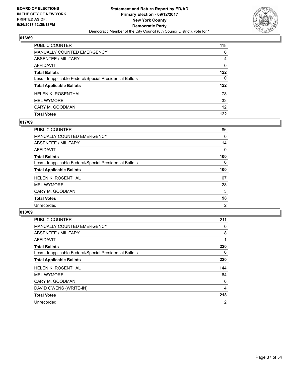

| <b>PUBLIC COUNTER</b>                                    | 118             |
|----------------------------------------------------------|-----------------|
| <b>MANUALLY COUNTED EMERGENCY</b>                        | $\Omega$        |
| <b>ABSENTEE / MILITARY</b>                               | 4               |
| <b>AFFIDAVIT</b>                                         | $\mathbf{0}$    |
| <b>Total Ballots</b>                                     | 122             |
| Less - Inapplicable Federal/Special Presidential Ballots | $\mathbf{0}$    |
| <b>Total Applicable Ballots</b>                          | 122             |
| <b>HELEN K. ROSENTHAL</b>                                | 78              |
| <b>MEL WYMORE</b>                                        | 32              |
| CARY M. GOODMAN                                          | 12 <sup>2</sup> |
| <b>Total Votes</b>                                       | 122             |

# **017/69**

| PUBLIC COUNTER                                           | 86  |
|----------------------------------------------------------|-----|
| <b>MANUALLY COUNTED EMERGENCY</b>                        | 0   |
| ABSENTEE / MILITARY                                      | 14  |
| AFFIDAVIT                                                | 0   |
| <b>Total Ballots</b>                                     | 100 |
| Less - Inapplicable Federal/Special Presidential Ballots | 0   |
| <b>Total Applicable Ballots</b>                          | 100 |
| <b>HELEN K. ROSENTHAL</b>                                | 67  |
| <b>MEL WYMORE</b>                                        | 28  |
| CARY M. GOODMAN                                          | 3   |
| <b>Total Votes</b>                                       | 98  |
| Unrecorded                                               | 2   |

| <b>PUBLIC COUNTER</b>                                    | 211            |
|----------------------------------------------------------|----------------|
| <b>MANUALLY COUNTED EMERGENCY</b>                        | 0              |
| ABSENTEE / MILITARY                                      | 8              |
| AFFIDAVIT                                                |                |
| <b>Total Ballots</b>                                     | 220            |
| Less - Inapplicable Federal/Special Presidential Ballots | 0              |
| <b>Total Applicable Ballots</b>                          | 220            |
| <b>HELEN K. ROSENTHAL</b>                                | 144            |
| <b>MEL WYMORE</b>                                        | 64             |
| CARY M. GOODMAN                                          | 6              |
| DAVID OWENS (WRITE-IN)                                   | 4              |
| <b>Total Votes</b>                                       | 218            |
| Unrecorded                                               | $\overline{2}$ |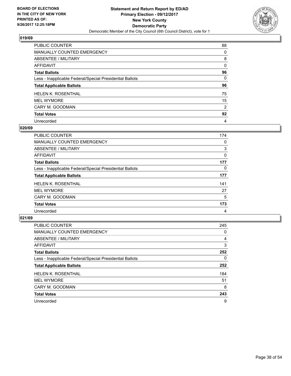

| PUBLIC COUNTER                                           | 88 |
|----------------------------------------------------------|----|
| <b>MANUALLY COUNTED EMERGENCY</b>                        | 0  |
| ABSENTEE / MILITARY                                      | 8  |
| AFFIDAVIT                                                | 0  |
| <b>Total Ballots</b>                                     | 96 |
| Less - Inapplicable Federal/Special Presidential Ballots | 0  |
| <b>Total Applicable Ballots</b>                          | 96 |
| <b>HELEN K. ROSENTHAL</b>                                | 75 |
| <b>MEL WYMORE</b>                                        | 15 |
| CARY M. GOODMAN                                          | 2  |
| <b>Total Votes</b>                                       | 92 |
| Unrecorded                                               | 4  |

#### **020/69**

| <b>PUBLIC COUNTER</b>                                    | 174 |
|----------------------------------------------------------|-----|
| <b>MANUALLY COUNTED EMERGENCY</b>                        | 0   |
| ABSENTEE / MILITARY                                      | 3   |
| <b>AFFIDAVIT</b>                                         | 0   |
| <b>Total Ballots</b>                                     | 177 |
| Less - Inapplicable Federal/Special Presidential Ballots | 0   |
| <b>Total Applicable Ballots</b>                          | 177 |
| <b>HELEN K. ROSENTHAL</b>                                | 141 |
| <b>MEL WYMORE</b>                                        | 27  |
| CARY M. GOODMAN                                          | 5   |
| <b>Total Votes</b>                                       | 173 |
| Unrecorded                                               | 4   |

| <b>PUBLIC COUNTER</b>                                    | 245 |
|----------------------------------------------------------|-----|
| MANUALLY COUNTED EMERGENCY                               | 0   |
| ABSENTEE / MILITARY                                      | 4   |
| <b>AFFIDAVIT</b>                                         | 3   |
| <b>Total Ballots</b>                                     | 252 |
| Less - Inapplicable Federal/Special Presidential Ballots | 0   |
| <b>Total Applicable Ballots</b>                          | 252 |
| <b>HELEN K. ROSENTHAL</b>                                | 184 |
| <b>MEL WYMORE</b>                                        | 51  |
| CARY M. GOODMAN                                          | 8   |
| <b>Total Votes</b>                                       | 243 |
| Unrecorded                                               | 9   |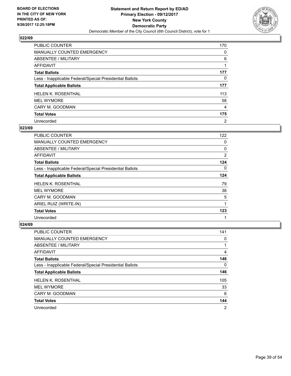

| PUBLIC COUNTER                                           | 170            |
|----------------------------------------------------------|----------------|
| MANUALLY COUNTED EMERGENCY                               | 0              |
| ABSENTEE / MILITARY                                      | 6              |
| AFFIDAVIT                                                |                |
| <b>Total Ballots</b>                                     | 177            |
| Less - Inapplicable Federal/Special Presidential Ballots | 0              |
| <b>Total Applicable Ballots</b>                          | 177            |
| <b>HELEN K. ROSENTHAL</b>                                | 113            |
| <b>MEL WYMORE</b>                                        | 58             |
| CARY M. GOODMAN                                          | 4              |
| <b>Total Votes</b>                                       | 175            |
| Unrecorded                                               | $\overline{2}$ |

#### **023/69**

| <b>PUBLIC COUNTER</b>                                    | 122 |
|----------------------------------------------------------|-----|
| <b>MANUALLY COUNTED EMERGENCY</b>                        | 0   |
| ABSENTEE / MILITARY                                      | 0   |
| <b>AFFIDAVIT</b>                                         | 2   |
| <b>Total Ballots</b>                                     | 124 |
| Less - Inapplicable Federal/Special Presidential Ballots | 0   |
| <b>Total Applicable Ballots</b>                          | 124 |
| <b>HELEN K. ROSENTHAL</b>                                | 79  |
| <b>MEL WYMORE</b>                                        | 38  |
| CARY M. GOODMAN                                          | 5   |
| ARIEL RUIZ (WRITE-IN)                                    | 1   |
| <b>Total Votes</b>                                       | 123 |
| Unrecorded                                               | 1   |

| <b>PUBLIC COUNTER</b>                                    | 141 |
|----------------------------------------------------------|-----|
| MANUALLY COUNTED EMERGENCY                               | 0   |
| ABSENTEE / MILITARY                                      |     |
| AFFIDAVIT                                                | 4   |
| <b>Total Ballots</b>                                     | 146 |
| Less - Inapplicable Federal/Special Presidential Ballots | 0   |
| <b>Total Applicable Ballots</b>                          | 146 |
| <b>HELEN K. ROSENTHAL</b>                                | 105 |
| <b>MEL WYMORE</b>                                        | 33  |
| CARY M. GOODMAN                                          | 6   |
| <b>Total Votes</b>                                       | 144 |
| Unrecorded                                               | 2   |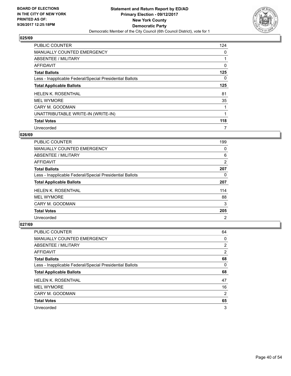

| <b>PUBLIC COUNTER</b>                                    | 124 |
|----------------------------------------------------------|-----|
| <b>MANUALLY COUNTED EMERGENCY</b>                        | 0   |
| ABSENTEE / MILITARY                                      | 1   |
| <b>AFFIDAVIT</b>                                         | 0   |
| <b>Total Ballots</b>                                     | 125 |
| Less - Inapplicable Federal/Special Presidential Ballots | 0   |
| <b>Total Applicable Ballots</b>                          | 125 |
| <b>HELEN K. ROSENTHAL</b>                                | 81  |
| <b>MEL WYMORE</b>                                        | 35  |
| CARY M. GOODMAN                                          | 1   |
| UNATTRIBUTABLE WRITE-IN (WRITE-IN)                       | 1   |
| <b>Total Votes</b>                                       | 118 |
| Unrecorded                                               | 7   |

#### **026/69**

| <b>PUBLIC COUNTER</b>                                    | 199 |
|----------------------------------------------------------|-----|
| <b>MANUALLY COUNTED EMERGENCY</b>                        | 0   |
| ABSENTEE / MILITARY                                      | 6   |
| AFFIDAVIT                                                | 2   |
| <b>Total Ballots</b>                                     | 207 |
| Less - Inapplicable Federal/Special Presidential Ballots | 0   |
|                                                          |     |
| <b>Total Applicable Ballots</b>                          | 207 |
| <b>HELEN K. ROSENTHAL</b>                                | 114 |
| <b>MEL WYMORE</b>                                        | 88  |
| CARY M. GOODMAN                                          | 3   |
| <b>Total Votes</b>                                       | 205 |

| <b>PUBLIC COUNTER</b>                                    | 64             |
|----------------------------------------------------------|----------------|
| <b>MANUALLY COUNTED EMERGENCY</b>                        | 0              |
| ABSENTEE / MILITARY                                      | 2              |
| AFFIDAVIT                                                | 2              |
| <b>Total Ballots</b>                                     | 68             |
| Less - Inapplicable Federal/Special Presidential Ballots | 0              |
| <b>Total Applicable Ballots</b>                          | 68             |
| <b>HELEN K. ROSENTHAL</b>                                | 47             |
| <b>MEL WYMORE</b>                                        | 16             |
| CARY M. GOODMAN                                          | $\overline{2}$ |
| <b>Total Votes</b>                                       | 65             |
|                                                          |                |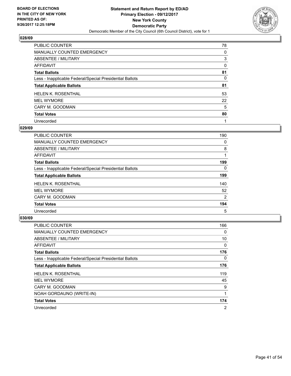

| PUBLIC COUNTER                                           | 78 |
|----------------------------------------------------------|----|
| <b>MANUALLY COUNTED EMERGENCY</b>                        | 0  |
| ABSENTEE / MILITARY                                      | 3  |
| <b>AFFIDAVIT</b>                                         | 0  |
| <b>Total Ballots</b>                                     | 81 |
| Less - Inapplicable Federal/Special Presidential Ballots | 0  |
| <b>Total Applicable Ballots</b>                          | 81 |
| <b>HELEN K. ROSENTHAL</b>                                | 53 |
| <b>MEL WYMORE</b>                                        | 22 |
| CARY M. GOODMAN                                          | 5  |
| <b>Total Votes</b>                                       | 80 |
| Unrecorded                                               |    |

#### **029/69**

| <b>PUBLIC COUNTER</b>                                    | 190      |
|----------------------------------------------------------|----------|
| <b>MANUALLY COUNTED EMERGENCY</b>                        | $\Omega$ |
| ABSENTEE / MILITARY                                      | 8        |
| <b>AFFIDAVIT</b>                                         |          |
| <b>Total Ballots</b>                                     | 199      |
| Less - Inapplicable Federal/Special Presidential Ballots | 0        |
| <b>Total Applicable Ballots</b>                          | 199      |
| <b>HELEN K. ROSENTHAL</b>                                | 140      |
| <b>MEL WYMORE</b>                                        | 52       |
| CARY M. GOODMAN                                          | 2        |
| <b>Total Votes</b>                                       | 194      |
| Unrecorded                                               | 5        |

| <b>PUBLIC COUNTER</b>                                    | 166 |
|----------------------------------------------------------|-----|
| MANUALLY COUNTED EMERGENCY                               | 0   |
| ABSENTEE / MILITARY                                      | 10  |
| AFFIDAVIT                                                | 0   |
| <b>Total Ballots</b>                                     | 176 |
| Less - Inapplicable Federal/Special Presidential Ballots | 0   |
| <b>Total Applicable Ballots</b>                          | 176 |
| <b>HELEN K. ROSENTHAL</b>                                | 119 |
| <b>MEL WYMORE</b>                                        | 45  |
| CARY M. GOODMAN                                          | 9   |
| NOAH GORDAUNO (WRITE-IN)                                 |     |
| <b>Total Votes</b>                                       | 174 |
| Unrecorded                                               | 2   |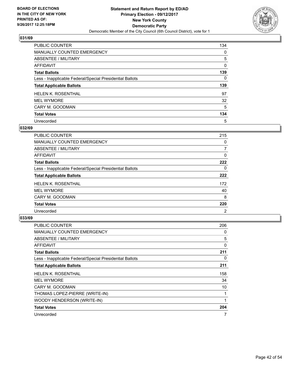

| PUBLIC COUNTER                                           | 134 |
|----------------------------------------------------------|-----|
| <b>MANUALLY COUNTED EMERGENCY</b>                        | 0   |
| ABSENTEE / MILITARY                                      | 5   |
| AFFIDAVIT                                                | 0   |
| <b>Total Ballots</b>                                     | 139 |
| Less - Inapplicable Federal/Special Presidential Ballots | 0   |
| <b>Total Applicable Ballots</b>                          | 139 |
| <b>HELEN K. ROSENTHAL</b>                                | 97  |
| <b>MEL WYMORE</b>                                        | 32  |
| CARY M. GOODMAN                                          | 5   |
| <b>Total Votes</b>                                       | 134 |
| Unrecorded                                               | 5   |

#### **032/69**

| <b>PUBLIC COUNTER</b>                                    | 215            |
|----------------------------------------------------------|----------------|
| <b>MANUALLY COUNTED EMERGENCY</b>                        | 0              |
| <b>ABSENTEE / MILITARY</b>                               | 7              |
| <b>AFFIDAVIT</b>                                         | 0              |
| <b>Total Ballots</b>                                     | 222            |
| Less - Inapplicable Federal/Special Presidential Ballots | 0              |
| <b>Total Applicable Ballots</b>                          | 222            |
| <b>HELEN K. ROSENTHAL</b>                                | 172            |
| <b>MEL WYMORE</b>                                        | 40             |
| CARY M. GOODMAN                                          | 8              |
| <b>Total Votes</b>                                       | 220            |
| Unrecorded                                               | $\overline{2}$ |

| <b>PUBLIC COUNTER</b>                                    | 206 |
|----------------------------------------------------------|-----|
| <b>MANUALLY COUNTED EMERGENCY</b>                        | 0   |
| ABSENTEE / MILITARY                                      | 5   |
| AFFIDAVIT                                                | 0   |
| <b>Total Ballots</b>                                     | 211 |
| Less - Inapplicable Federal/Special Presidential Ballots | 0   |
| <b>Total Applicable Ballots</b>                          | 211 |
| <b>HELEN K. ROSENTHAL</b>                                | 158 |
| <b>MEL WYMORE</b>                                        | 34  |
| CARY M. GOODMAN                                          | 10  |
| THOMAS LOPEZ-PIERRE (WRITE-IN)                           | 1   |
| WOODY HENDERSON (WRITE-IN)                               | 1   |
| <b>Total Votes</b>                                       | 204 |
| Unrecorded                                               | 7   |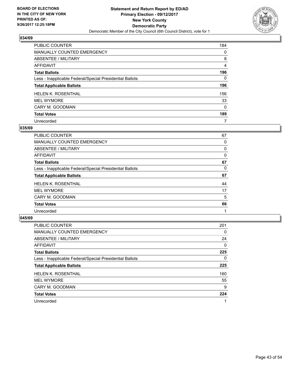

| PUBLIC COUNTER                                           | 184 |
|----------------------------------------------------------|-----|
| <b>MANUALLY COUNTED EMERGENCY</b>                        | 0   |
| ABSENTEE / MILITARY                                      | 8   |
| AFFIDAVIT                                                | 4   |
| <b>Total Ballots</b>                                     | 196 |
| Less - Inapplicable Federal/Special Presidential Ballots | 0   |
| <b>Total Applicable Ballots</b>                          | 196 |
| <b>HELEN K. ROSENTHAL</b>                                | 156 |
| <b>MEL WYMORE</b>                                        | 33  |
| CARY M. GOODMAN                                          | 0   |
| <b>Total Votes</b>                                       | 189 |
| Unrecorded                                               | 7   |

#### **035/69**

| <b>PUBLIC COUNTER</b>                                    | 67 |
|----------------------------------------------------------|----|
| <b>MANUALLY COUNTED EMERGENCY</b>                        | 0  |
| ABSENTEE / MILITARY                                      | 0  |
| AFFIDAVIT                                                | 0  |
| <b>Total Ballots</b>                                     | 67 |
| Less - Inapplicable Federal/Special Presidential Ballots | 0  |
| <b>Total Applicable Ballots</b>                          | 67 |
| <b>HELEN K. ROSENTHAL</b>                                | 44 |
| <b>MEL WYMORE</b>                                        | 17 |
| CARY M. GOODMAN                                          | 5  |
| <b>Total Votes</b>                                       | 66 |
| Unrecorded                                               |    |

| <b>PUBLIC COUNTER</b>                                    | 201 |
|----------------------------------------------------------|-----|
| <b>MANUALLY COUNTED EMERGENCY</b>                        | 0   |
| ABSENTEE / MILITARY                                      | 24  |
| AFFIDAVIT                                                | 0   |
| <b>Total Ballots</b>                                     | 225 |
| Less - Inapplicable Federal/Special Presidential Ballots | 0   |
| <b>Total Applicable Ballots</b>                          | 225 |
| HELEN K. ROSENTHAL                                       | 160 |
| <b>MEL WYMORE</b>                                        | 55  |
| CARY M. GOODMAN                                          | 9   |
| <b>Total Votes</b>                                       | 224 |
| Unrecorded                                               |     |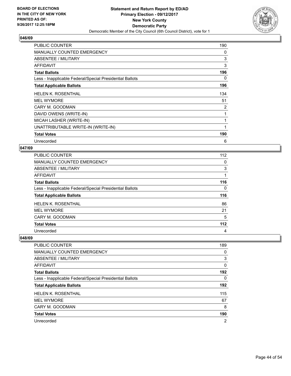

| <b>PUBLIC COUNTER</b>                                    | 190 |
|----------------------------------------------------------|-----|
| MANUALLY COUNTED EMERGENCY                               | 0   |
| <b>ABSENTEE / MILITARY</b>                               | 3   |
| <b>AFFIDAVIT</b>                                         | 3   |
| <b>Total Ballots</b>                                     | 196 |
| Less - Inapplicable Federal/Special Presidential Ballots | 0   |
| <b>Total Applicable Ballots</b>                          | 196 |
| <b>HELEN K. ROSENTHAL</b>                                | 134 |
| <b>MEL WYMORE</b>                                        | 51  |
| CARY M. GOODMAN                                          | 2   |
| DAVID OWENS (WRITE-IN)                                   | 1   |
| MICAH LASHER (WRITE-IN)                                  | 1   |
| UNATTRIBUTABLE WRITE-IN (WRITE-IN)                       |     |
| <b>Total Votes</b>                                       | 190 |
| Unrecorded                                               | 6   |

## **047/69**

| PUBLIC COUNTER                                           | 112   |
|----------------------------------------------------------|-------|
| MANUALLY COUNTED EMERGENCY                               | 0     |
| ABSENTEE / MILITARY                                      | 3     |
| AFFIDAVIT                                                |       |
| <b>Total Ballots</b>                                     | 116   |
| Less - Inapplicable Federal/Special Presidential Ballots | 0     |
| <b>Total Applicable Ballots</b>                          | 116   |
| <b>HELEN K. ROSENTHAL</b>                                | 86    |
| <b>MEL WYMORE</b>                                        | 21    |
| CARY M. GOODMAN                                          | 5     |
| <b>Total Votes</b>                                       | $112$ |
| Unrecorded                                               | 4     |

| PUBLIC COUNTER                                           | 189            |
|----------------------------------------------------------|----------------|
| <b>MANUALLY COUNTED EMERGENCY</b>                        | 0              |
| ABSENTEE / MILITARY                                      | 3              |
| AFFIDAVIT                                                | 0              |
| <b>Total Ballots</b>                                     | 192            |
| Less - Inapplicable Federal/Special Presidential Ballots | 0              |
| <b>Total Applicable Ballots</b>                          | 192            |
| <b>HELEN K. ROSENTHAL</b>                                | 115            |
| <b>MEL WYMORE</b>                                        | 67             |
| CARY M. GOODMAN                                          | 8              |
| <b>Total Votes</b>                                       | 190            |
| Unrecorded                                               | $\overline{2}$ |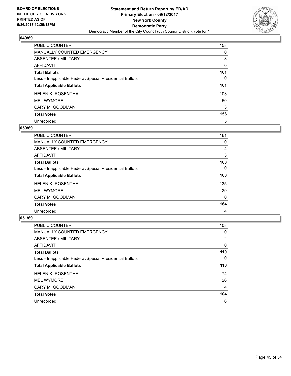

| PUBLIC COUNTER                                           | 158 |
|----------------------------------------------------------|-----|
| <b>MANUALLY COUNTED EMERGENCY</b>                        | 0   |
| ABSENTEE / MILITARY                                      | 3   |
| AFFIDAVIT                                                | 0   |
| <b>Total Ballots</b>                                     | 161 |
| Less - Inapplicable Federal/Special Presidential Ballots | 0   |
| <b>Total Applicable Ballots</b>                          | 161 |
| <b>HELEN K. ROSENTHAL</b>                                | 103 |
| <b>MEL WYMORE</b>                                        | 50  |
| CARY M. GOODMAN                                          | 3   |
| <b>Total Votes</b>                                       | 156 |
| Unrecorded                                               | 5   |

#### **050/69**

| <b>PUBLIC COUNTER</b>                                    | 161      |
|----------------------------------------------------------|----------|
| <b>MANUALLY COUNTED EMERGENCY</b>                        | 0        |
| <b>ABSENTEE / MILITARY</b>                               | 4        |
| <b>AFFIDAVIT</b>                                         | 3        |
| <b>Total Ballots</b>                                     | 168      |
| Less - Inapplicable Federal/Special Presidential Ballots | $\Omega$ |
| <b>Total Applicable Ballots</b>                          | 168      |
| <b>HELEN K. ROSENTHAL</b>                                | 135      |
| <b>MEL WYMORE</b>                                        | 29       |
| CARY M. GOODMAN                                          | $\Omega$ |
| <b>Total Votes</b>                                       | 164      |
| Unrecorded                                               | 4        |

| <b>PUBLIC COUNTER</b>                                    | 108            |
|----------------------------------------------------------|----------------|
| MANUALLY COUNTED EMERGENCY                               | 0              |
| ABSENTEE / MILITARY                                      | $\overline{2}$ |
| AFFIDAVIT                                                | 0              |
| <b>Total Ballots</b>                                     | 110            |
| Less - Inapplicable Federal/Special Presidential Ballots | 0              |
| <b>Total Applicable Ballots</b>                          | 110            |
| <b>HELEN K. ROSENTHAL</b>                                | 74             |
| <b>MEL WYMORE</b>                                        | 26             |
| CARY M. GOODMAN                                          | 4              |
| <b>Total Votes</b>                                       | 104            |
| Unrecorded                                               | 6              |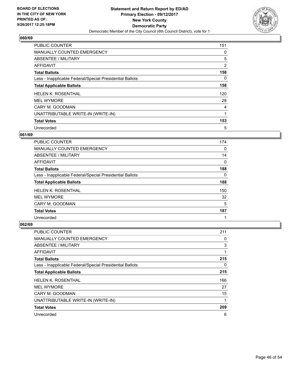

| <b>PUBLIC COUNTER</b>                                    | 151 |
|----------------------------------------------------------|-----|
| <b>MANUALLY COUNTED EMERGENCY</b>                        | 0   |
| ABSENTEE / MILITARY                                      | 5   |
| AFFIDAVIT                                                | 2   |
| <b>Total Ballots</b>                                     | 158 |
| Less - Inapplicable Federal/Special Presidential Ballots | 0   |
| <b>Total Applicable Ballots</b>                          | 158 |
| <b>HELEN K. ROSENTHAL</b>                                | 120 |
| <b>MEL WYMORE</b>                                        | 28  |
| CARY M. GOODMAN                                          | 4   |
| UNATTRIBUTABLE WRITE-IN (WRITE-IN)                       | 1   |
| <b>Total Votes</b>                                       | 153 |
| Unrecorded                                               | 5   |

#### **061/69**

| <b>PUBLIC COUNTER</b>                                    | 174 |
|----------------------------------------------------------|-----|
| <b>MANUALLY COUNTED EMERGENCY</b>                        | 0   |
| ABSENTEE / MILITARY                                      | 14  |
| AFFIDAVIT                                                | 0   |
| <b>Total Ballots</b>                                     | 188 |
| Less - Inapplicable Federal/Special Presidential Ballots | 0   |
| <b>Total Applicable Ballots</b>                          | 188 |
| <b>HELEN K. ROSENTHAL</b>                                | 150 |
| <b>MEL WYMORE</b>                                        | 32  |
| CARY M. GOODMAN                                          | 5   |
| <b>Total Votes</b>                                       | 187 |
| Unrecorded                                               | 1   |

| <b>PUBLIC COUNTER</b>                                    | 211 |
|----------------------------------------------------------|-----|
| <b>MANUALLY COUNTED EMERGENCY</b>                        | 0   |
| ABSENTEE / MILITARY                                      | 3   |
| AFFIDAVIT                                                | 1   |
| <b>Total Ballots</b>                                     | 215 |
| Less - Inapplicable Federal/Special Presidential Ballots | 0   |
| <b>Total Applicable Ballots</b>                          | 215 |
| <b>HELEN K. ROSENTHAL</b>                                | 166 |
| <b>MEL WYMORE</b>                                        | 27  |
| CARY M. GOODMAN                                          | 15  |
| UNATTRIBUTABLE WRITE-IN (WRITE-IN)                       | 1   |
| <b>Total Votes</b>                                       | 209 |
| Unrecorded                                               | 6   |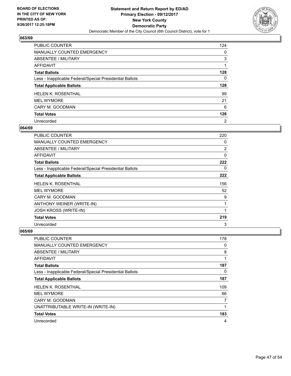

| <b>PUBLIC COUNTER</b>                                    | 124            |
|----------------------------------------------------------|----------------|
| <b>MANUALLY COUNTED EMERGENCY</b>                        | 0              |
| ABSENTEE / MILITARY                                      | 3              |
| AFFIDAVIT                                                |                |
| <b>Total Ballots</b>                                     | 128            |
| Less - Inapplicable Federal/Special Presidential Ballots | 0              |
| <b>Total Applicable Ballots</b>                          | 128            |
| <b>HELEN K. ROSENTHAL</b>                                | 99             |
| <b>MEL WYMORE</b>                                        | 21             |
| CARY M. GOODMAN                                          | 6              |
| <b>Total Votes</b>                                       | 126            |
| Unrecorded                                               | $\overline{2}$ |

#### **064/69**

| <b>PUBLIC COUNTER</b>                                    | 220            |
|----------------------------------------------------------|----------------|
| <b>MANUALLY COUNTED EMERGENCY</b>                        | 0              |
| ABSENTEE / MILITARY                                      | $\overline{2}$ |
| <b>AFFIDAVIT</b>                                         | $\Omega$       |
| <b>Total Ballots</b>                                     | 222            |
| Less - Inapplicable Federal/Special Presidential Ballots | 0              |
| <b>Total Applicable Ballots</b>                          | 222            |
| <b>HELEN K. ROSENTHAL</b>                                | 156            |
| <b>MEL WYMORE</b>                                        | 52             |
| CARY M. GOODMAN                                          | 9              |
| ANTHONY WEINER (WRITE-IN)                                |                |
| <b>JOSH KROSS (WRITE-IN)</b>                             | 1              |
| <b>Total Votes</b>                                       | 219            |
| Unrecorded                                               | 3              |

| <b>PUBLIC COUNTER</b>                                    | 178 |
|----------------------------------------------------------|-----|
| <b>MANUALLY COUNTED EMERGENCY</b>                        | 0   |
| ABSENTEE / MILITARY                                      | 8   |
| AFFIDAVIT                                                | 1   |
| <b>Total Ballots</b>                                     | 187 |
| Less - Inapplicable Federal/Special Presidential Ballots | 0   |
| <b>Total Applicable Ballots</b>                          | 187 |
| <b>HELEN K. ROSENTHAL</b>                                | 109 |
| <b>MEL WYMORE</b>                                        | 66  |
| CARY M. GOODMAN                                          | 7   |
| UNATTRIBUTABLE WRITE-IN (WRITE-IN)                       | 1   |
| <b>Total Votes</b>                                       | 183 |
| Unrecorded                                               | 4   |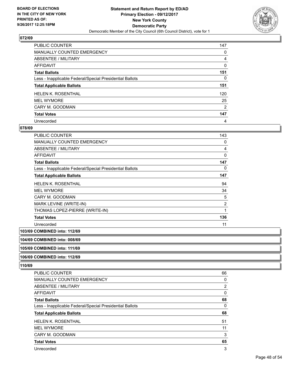

| PUBLIC COUNTER                                           | 147 |
|----------------------------------------------------------|-----|
| <b>MANUALLY COUNTED EMERGENCY</b>                        | 0   |
| ABSENTEE / MILITARY                                      | 4   |
| AFFIDAVIT                                                | 0   |
| <b>Total Ballots</b>                                     | 151 |
| Less - Inapplicable Federal/Special Presidential Ballots | 0   |
| <b>Total Applicable Ballots</b>                          | 151 |
| <b>HELEN K. ROSENTHAL</b>                                | 120 |
| <b>MEL WYMORE</b>                                        | 25  |
| CARY M. GOODMAN                                          | 2   |
| <b>Total Votes</b>                                       | 147 |
| Unrecorded                                               | 4   |

#### **078/69**

| PUBLIC COUNTER                                           | 143            |
|----------------------------------------------------------|----------------|
| <b>MANUALLY COUNTED EMERGENCY</b>                        | 0              |
| <b>ABSENTEE / MILITARY</b>                               | 4              |
| <b>AFFIDAVIT</b>                                         | $\Omega$       |
| <b>Total Ballots</b>                                     | 147            |
| Less - Inapplicable Federal/Special Presidential Ballots | 0              |
| <b>Total Applicable Ballots</b>                          | 147            |
| <b>HELEN K. ROSENTHAL</b>                                | 94             |
| <b>MEL WYMORE</b>                                        | 34             |
| CARY M. GOODMAN                                          | 5              |
| MARK LEVINE (WRITE-IN)                                   | $\overline{2}$ |
| THOMAS LOPEZ-PIERRE (WRITE-IN)                           | 1              |
| <b>Total Votes</b>                                       | 136            |
| Unrecorded                                               | 11             |

# **103/69 COMBINED into: 112/69**

#### **104/69 COMBINED into: 008/69**

# **105/69 COMBINED into: 111/69**

# **106/69 COMBINED into: 112/69**

| <b>PUBLIC COUNTER</b>                                    | 66             |
|----------------------------------------------------------|----------------|
| <b>MANUALLY COUNTED EMERGENCY</b>                        | 0              |
| ABSENTEE / MILITARY                                      | $\overline{2}$ |
| <b>AFFIDAVIT</b>                                         | 0              |
| <b>Total Ballots</b>                                     | 68             |
| Less - Inapplicable Federal/Special Presidential Ballots | 0              |
| <b>Total Applicable Ballots</b>                          | 68             |
|                                                          |                |
| HELEN K. ROSENTHAL                                       | 51             |
| <b>MEL WYMORE</b>                                        | 11             |
| CARY M. GOODMAN                                          | 3              |
| <b>Total Votes</b>                                       | 65             |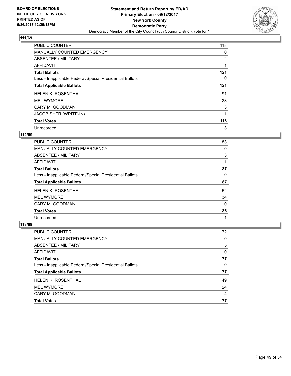

| <b>PUBLIC COUNTER</b>                                    | 118            |
|----------------------------------------------------------|----------------|
| MANUALLY COUNTED EMERGENCY                               | 0              |
| ABSENTEE / MILITARY                                      | $\overline{2}$ |
| AFFIDAVIT                                                |                |
| <b>Total Ballots</b>                                     | 121            |
| Less - Inapplicable Federal/Special Presidential Ballots | 0              |
| <b>Total Applicable Ballots</b>                          | 121            |
| <b>HELEN K. ROSENTHAL</b>                                | 91             |
| <b>MEL WYMORE</b>                                        | 23             |
| CARY M. GOODMAN                                          | 3              |
| JACOB SHER (WRITE-IN)                                    |                |
| <b>Total Votes</b>                                       | 118            |
| Unrecorded                                               | 3              |

# **112/69**

| <b>PUBLIC COUNTER</b>                                    | 83 |
|----------------------------------------------------------|----|
| <b>MANUALLY COUNTED EMERGENCY</b>                        | 0  |
| ABSENTEE / MILITARY                                      | 3  |
| AFFIDAVIT                                                |    |
| <b>Total Ballots</b>                                     | 87 |
| Less - Inapplicable Federal/Special Presidential Ballots | 0  |
| <b>Total Applicable Ballots</b>                          | 87 |
| <b>HELEN K. ROSENTHAL</b>                                | 52 |
| <b>MEL WYMORE</b>                                        | 34 |
| CARY M. GOODMAN                                          | 0  |
| <b>Total Votes</b>                                       | 86 |
| Unrecorded                                               | 1  |

| PUBLIC COUNTER                                           | 72 |
|----------------------------------------------------------|----|
| <b>MANUALLY COUNTED EMERGENCY</b>                        | 0  |
| ABSENTEE / MILITARY                                      | 5  |
| AFFIDAVIT                                                | 0  |
| <b>Total Ballots</b>                                     | 77 |
| Less - Inapplicable Federal/Special Presidential Ballots | 0  |
| <b>Total Applicable Ballots</b>                          | 77 |
| <b>HELEN K. ROSENTHAL</b>                                | 49 |
| <b>MEL WYMORE</b>                                        | 24 |
| CARY M. GOODMAN                                          | 4  |
| <b>Total Votes</b>                                       | 77 |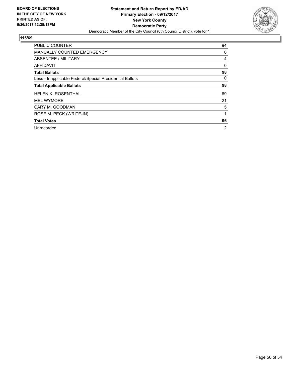

| <b>PUBLIC COUNTER</b>                                    | 94 |
|----------------------------------------------------------|----|
| <b>MANUALLY COUNTED EMERGENCY</b>                        | 0  |
| ABSENTEE / MILITARY                                      | 4  |
| <b>AFFIDAVIT</b>                                         | 0  |
| <b>Total Ballots</b>                                     | 98 |
| Less - Inapplicable Federal/Special Presidential Ballots | 0  |
| <b>Total Applicable Ballots</b>                          | 98 |
| <b>HELEN K. ROSENTHAL</b>                                | 69 |
| <b>MEL WYMORE</b>                                        | 21 |
| CARY M. GOODMAN                                          | 5  |
| ROSE M. PECK (WRITE-IN)                                  |    |
| <b>Total Votes</b>                                       | 96 |
| Unrecorded                                               | 2  |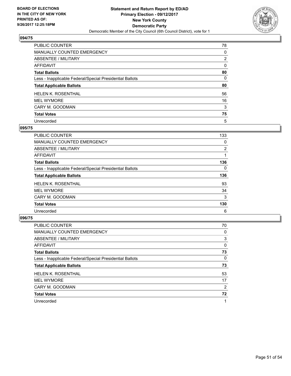

| PUBLIC COUNTER                                           | 78             |
|----------------------------------------------------------|----------------|
| MANUALLY COUNTED EMERGENCY                               | 0              |
| ABSENTEE / MILITARY                                      | $\overline{2}$ |
| AFFIDAVIT                                                | 0              |
| <b>Total Ballots</b>                                     | 80             |
| Less - Inapplicable Federal/Special Presidential Ballots | 0              |
| <b>Total Applicable Ballots</b>                          | 80             |
| <b>HELEN K. ROSENTHAL</b>                                | 56             |
| <b>MEL WYMORE</b>                                        | 16             |
| CARY M. GOODMAN                                          | 3              |
| <b>Total Votes</b>                                       | 75             |
| Unrecorded                                               | 5              |

## **095/75**

| <b>PUBLIC COUNTER</b>                                    | 133            |
|----------------------------------------------------------|----------------|
| <b>MANUALLY COUNTED EMERGENCY</b>                        | 0              |
| ABSENTEE / MILITARY                                      | $\overline{2}$ |
| <b>AFFIDAVIT</b>                                         |                |
| <b>Total Ballots</b>                                     | 136            |
| Less - Inapplicable Federal/Special Presidential Ballots | 0              |
| <b>Total Applicable Ballots</b>                          | 136            |
| <b>HELEN K. ROSENTHAL</b>                                | 93             |
| <b>MEL WYMORE</b>                                        | 34             |
| CARY M. GOODMAN                                          | 3              |
| <b>Total Votes</b>                                       | 130            |
| Unrecorded                                               | 6              |

| <b>PUBLIC COUNTER</b>                                    | 70 |
|----------------------------------------------------------|----|
| MANUALLY COUNTED EMERGENCY                               | 0  |
| ABSENTEE / MILITARY                                      | 3  |
| AFFIDAVIT                                                | 0  |
| <b>Total Ballots</b>                                     | 73 |
| Less - Inapplicable Federal/Special Presidential Ballots | 0  |
| <b>Total Applicable Ballots</b>                          | 73 |
| HELEN K. ROSENTHAL                                       | 53 |
| <b>MEL WYMORE</b>                                        | 17 |
| CARY M. GOODMAN                                          | 2  |
| <b>Total Votes</b>                                       | 72 |
| Unrecorded                                               |    |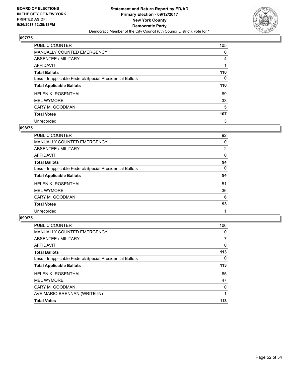

| PUBLIC COUNTER                                           | 105 |
|----------------------------------------------------------|-----|
| MANUALLY COUNTED EMERGENCY                               | 0   |
| ABSENTEE / MILITARY                                      | 4   |
| AFFIDAVIT                                                |     |
| <b>Total Ballots</b>                                     | 110 |
| Less - Inapplicable Federal/Special Presidential Ballots | 0   |
| <b>Total Applicable Ballots</b>                          | 110 |
| <b>HELEN K. ROSENTHAL</b>                                | 69  |
| <b>MEL WYMORE</b>                                        | 33  |
| CARY M. GOODMAN                                          | 5   |
| <b>Total Votes</b>                                       | 107 |
| Unrecorded                                               | 3   |

#### **098/75**

| <b>PUBLIC COUNTER</b>                                    | 92             |
|----------------------------------------------------------|----------------|
| MANUALLY COUNTED EMERGENCY                               | 0              |
| ABSENTEE / MILITARY                                      | $\overline{2}$ |
| AFFIDAVIT                                                | 0              |
| <b>Total Ballots</b>                                     | 94             |
| Less - Inapplicable Federal/Special Presidential Ballots | 0              |
| <b>Total Applicable Ballots</b>                          | 94             |
| <b>HELEN K. ROSENTHAL</b>                                | 51             |
| <b>MEL WYMORE</b>                                        | 36             |
| CARY M. GOODMAN                                          | 6              |
| <b>Total Votes</b>                                       | 93             |
| Unrecorded                                               |                |

| <b>PUBLIC COUNTER</b>                                    | 106 |
|----------------------------------------------------------|-----|
| <b>MANUALLY COUNTED EMERGENCY</b>                        | 0   |
| ABSENTEE / MILITARY                                      |     |
| AFFIDAVIT                                                | 0   |
| <b>Total Ballots</b>                                     | 113 |
| Less - Inapplicable Federal/Special Presidential Ballots | 0   |
| <b>Total Applicable Ballots</b>                          | 113 |
| <b>HELEN K. ROSENTHAL</b>                                | 65  |
| <b>MEL WYMORE</b>                                        | 47  |
| CARY M. GOODMAN                                          | 0   |
| AVE MARIO BRENNAN (WRITE-IN)                             |     |
| <b>Total Votes</b>                                       | 113 |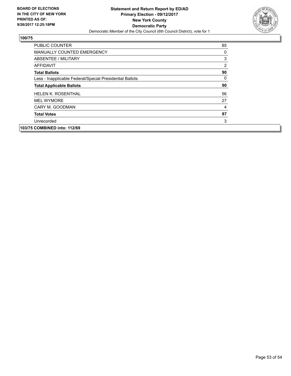

| <b>PUBLIC COUNTER</b>                                    | 85             |
|----------------------------------------------------------|----------------|
| <b>MANUALLY COUNTED EMERGENCY</b>                        | 0              |
| ABSENTEE / MILITARY                                      | 3              |
| AFFIDAVIT                                                | $\overline{2}$ |
| <b>Total Ballots</b>                                     | 90             |
| Less - Inapplicable Federal/Special Presidential Ballots | 0              |
| <b>Total Applicable Ballots</b>                          | 90             |
| <b>HELEN K. ROSENTHAL</b>                                | 56             |
| <b>MEL WYMORE</b>                                        | 27             |
| CARY M. GOODMAN                                          | 4              |
| <b>Total Votes</b>                                       | 87             |
| Unrecorded                                               | 3              |
| 103/75 COMBINED into: 112/69                             |                |